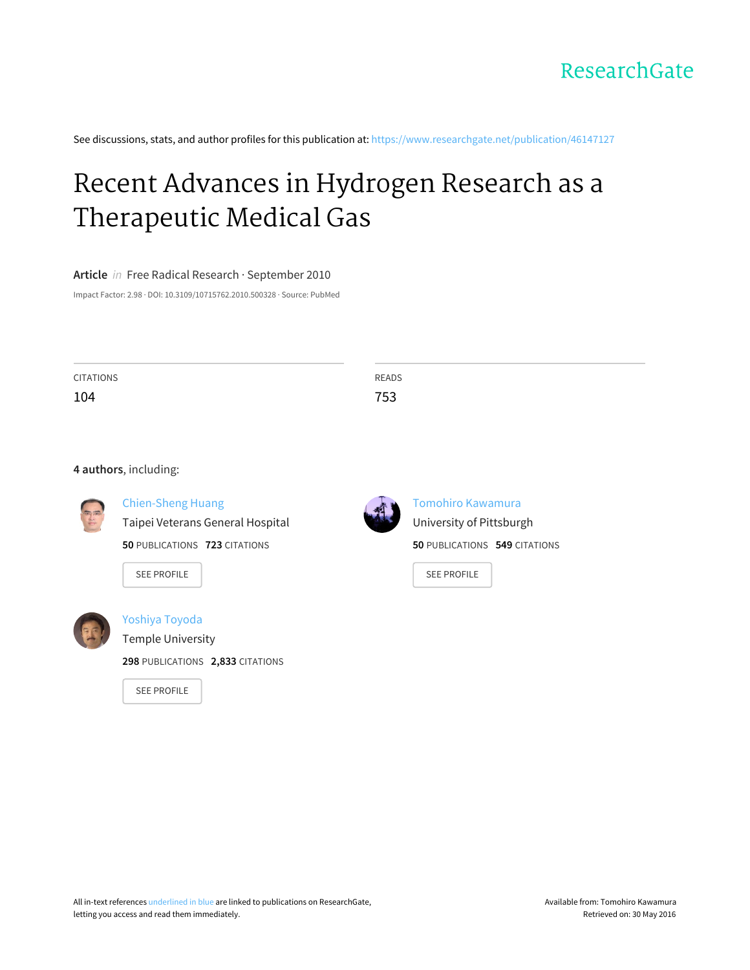

See discussions, stats, and author profiles for this publication at: [https://www.researchgate.net/publication/46147127](https://www.researchgate.net/publication/46147127_Recent_Advances_in_Hydrogen_Research_as_a_Therapeutic_Medical_Gas?enrichId=rgreq-af08f6df-b514-460f-b253-7f689bb4e3a8&enrichSource=Y292ZXJQYWdlOzQ2MTQ3MTI3O0FTOjk5MTY5NzcxNDU4NTc4QDE0MDA2NTUzMjYxNTc%3D&el=1_x_2)

# Recent Advances in Hydrogen Research as a [Therapeutic](https://www.researchgate.net/publication/46147127_Recent_Advances_in_Hydrogen_Research_as_a_Therapeutic_Medical_Gas?enrichId=rgreq-af08f6df-b514-460f-b253-7f689bb4e3a8&enrichSource=Y292ZXJQYWdlOzQ2MTQ3MTI3O0FTOjk5MTY5NzcxNDU4NTc4QDE0MDA2NTUzMjYxNTc%3D&el=1_x_3) Medical Gas

**Article** in Free Radical Research · September 2010

Impact Factor: 2.98 · DOI: 10.3109/10715762.2010.500328 · Source: PubMed

|                                  | <b>READS</b>                                                                                                                                 |                               |
|----------------------------------|----------------------------------------------------------------------------------------------------------------------------------------------|-------------------------------|
|                                  | 753                                                                                                                                          |                               |
|                                  |                                                                                                                                              |                               |
|                                  |                                                                                                                                              |                               |
|                                  |                                                                                                                                              | <b>Tomohiro Kawamura</b>      |
|                                  |                                                                                                                                              | University of Pittsburgh      |
|                                  |                                                                                                                                              | 50 PUBLICATIONS 549 CITATIONS |
|                                  |                                                                                                                                              |                               |
| <b>SEE PROFILE</b>               |                                                                                                                                              | SEE PROFILE                   |
|                                  |                                                                                                                                              |                               |
| Yoshiya Toyoda                   |                                                                                                                                              |                               |
| Temple University                |                                                                                                                                              |                               |
| 298 PUBLICATIONS 2,833 CITATIONS |                                                                                                                                              |                               |
|                                  |                                                                                                                                              |                               |
|                                  |                                                                                                                                              |                               |
|                                  |                                                                                                                                              |                               |
|                                  | 4 authors, including:<br><b>Chien-Sheng Huang</b><br>Taipei Veterans General Hospital<br>50 PUBLICATIONS 723 CITATIONS<br><b>SEE PROFILE</b> |                               |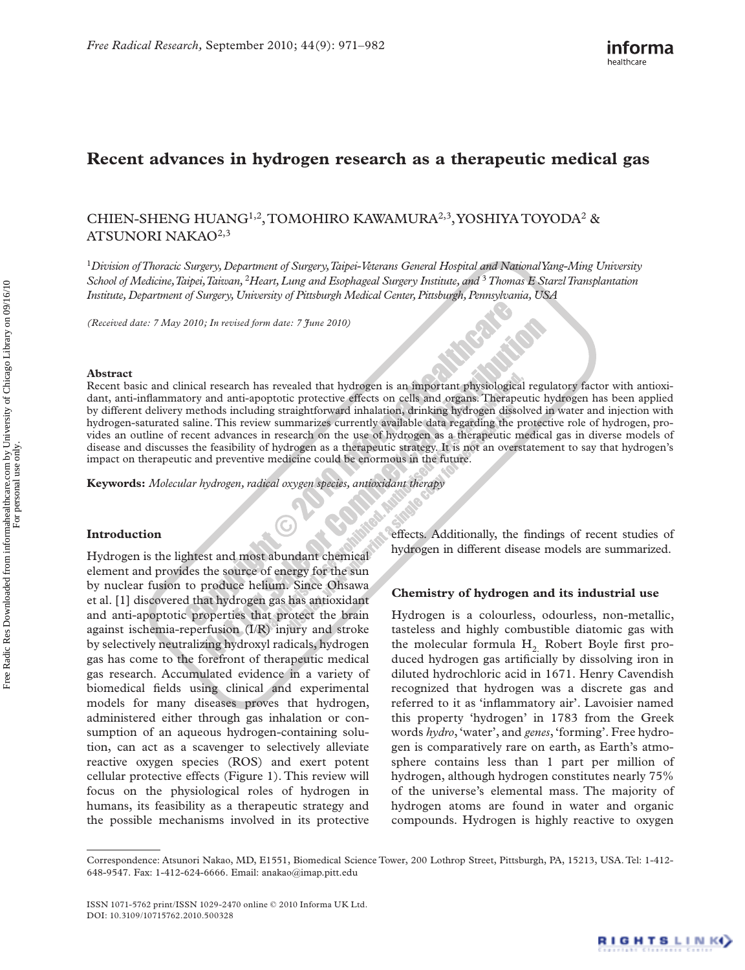# **Recent advances in hydrogen research as a therapeutic medical gas**

# CHIEN-SHENG HUANG<sup>1,2</sup>, TOMOHIRO KAWAMURA<sup>2,3</sup>, YOSHIYA TOYODA<sup>2</sup> & ATSUNORI NAKAO<sup>2,3</sup>

<sup>1</sup>*Division of Thoracic Surgery, Department of Surgery, Taipei-Veterans General Hospital and National Yang-Ming University School of Medicine, Taipei, Taiwan,* <sup>2</sup>*Heart, Lung and Esophageal Surgery Institute, and*  <sup>3</sup> *Thomas E Starzl Transplantation Institute, Department of Surgery, University of Pittsburgh Medical Center, Pittsburgh, Pennsylvania, USA* 

*(Received date: 7 May 2010; In revised form date: 7 June 2010)*

#### **Abstract**

Recent basic and clinical research has revealed that hydrogen is an important physiological regulatory factor with antioxidant, anti-inflammatory and anti-apoptotic protective effects on cells and organs. Therapeutic hydrogen has been applied by different delivery methods including straightforward inhalation, drinking hydrogen dissolved in water and injection with hydrogen-saturated saline. This review summarizes currently available data regarding the protective role of hydrogen, provides an outline of recent advances in research on the use of hydrogen as a therapeutic medical gas in diverse models of disease and discusses the feasibility of hydrogen as a therapeutic strategy. It is not an overstatement to say that hydrogen's impact on therapeutic and preventive medicine could be enormous in the future.

 **Keywords:** *Molecular hydrogen , radical oxygen species , antioxidant therapy* 

# **Introduction**

Hydrogen is the lightest and most abundant chemical element and provides the source of energy for the sun by nuclear fusion to produce helium. Since Ohsawa et al. [1] discovered that hydrogen gas has antioxidant and anti-apoptotic properties that protect the brain against ischemia-reperfusion (I/R) injury and stroke by selectively neutralizing hydroxyl radicals, hydrogen gas has come to the forefront of therapeutic medical gas research. Accumulated evidence in a variety of biomedical fields using clinical and experimental models for many diseases proves that hydrogen, administered either through gas inhalation or consumption of an aqueous hydrogen-containing solution, can act as a scavenger to selectively alleviate reactive oxygen species (ROS) and exert potent cellular protective effects (Figure 1). This review will focus on the physiological roles of hydrogen in humans, its feasibility as a therapeutic strategy and the possible mechanisms involved in its protective

effects. Additionally, the findings of recent studies of hydrogen in different disease models are summarized.

# **Chemistry of hydrogen and its industrial use**

Hydrogen is a colourless, odourless, non-metallic, tasteless and highly combustible diatomic gas with the molecular formula  $H_2$ . Robert Boyle first produced hydrogen gas artificially by dissolving iron in diluted hydrochloric acid in 1671. Henry Cavendish recognized that hydrogen was a discrete gas and referred to it as 'inflammatory air'. Lavoisier named this property 'hydrogen' in 1783 from the Greek words *hydro*, 'water', and *genes*, 'forming'. Free hydrogen is comparatively rare on earth, as Earth's atmosphere contains less than 1 part per million of hydrogen, although hydrogen constitutes nearly 75% of the universe's elemental mass. The majority of hydrogen atoms are found in water and organic compounds. Hydrogen is highly reactive to oxygen

Correspondence: Atsunori Nakao, MD, E1551, Biomedical Science Tower, 200 Lothrop Street, Pittsburgh, PA, 15213, USA. Tel: 1-412- 648-9547. Fax: 1-412-624-6666. Email: anakao@imap.pitt.edu

ISSN 1071-5762 print/ISSN 1029-2470 online © 2010 Informa UK Ltd. DOI: 10.3109/10715762.2010.500328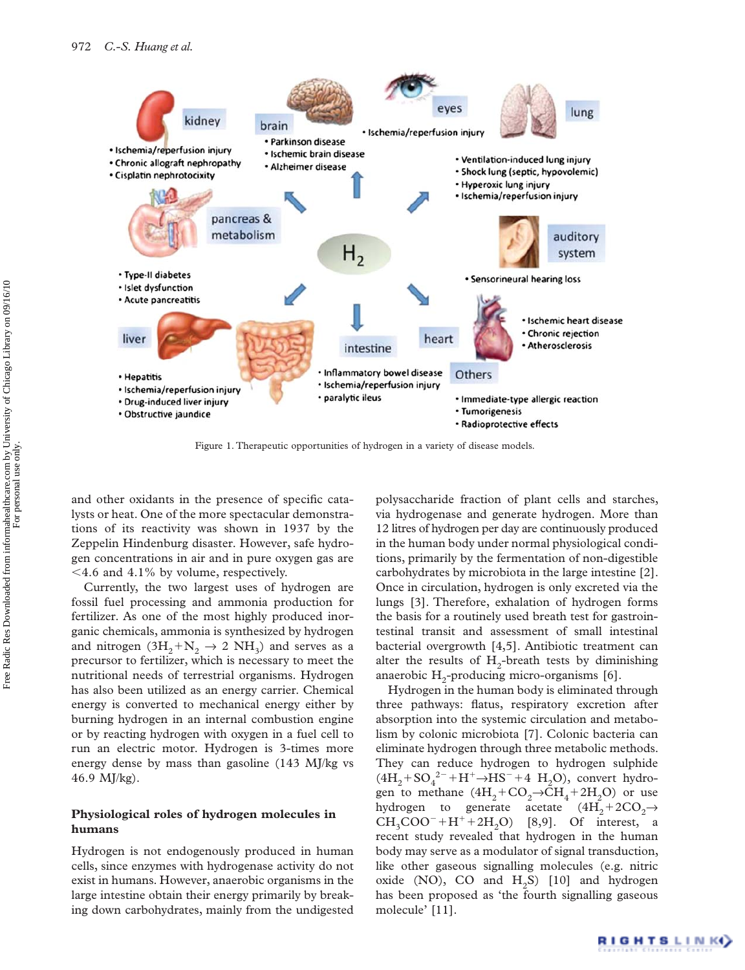

Figure 1.Therapeutic opportunities of hydrogen in a variety of disease models.

and other oxidants in the presence of specific catalysts or heat. One of the more spectacular demonstrations of its reactivity was shown in 1937 by the Zeppelin Hindenburg disaster. However, safe hydrogen concentrations in air and in pure oxygen gas are -4.6 and 4.1% by volume, respectively.

Currently, the two largest uses of hydrogen are fossil fuel processing and ammonia production for fertilizer. As one of the most highly produced inorganic chemicals, ammonia is synthesized by hydrogen and nitrogen  $(3H_2 + N_2 \rightarrow 2 \text{ NH}_3)$  and serves as a precursor to fertilizer, which is necessary to meet the nutritional needs of terrestrial organisms. Hydrogen has also been utilized as an energy carrier. Chemical energy is converted to mechanical energy either by burning hydrogen in an internal combustion engine or by reacting hydrogen with oxygen in a fuel cell to run an electric motor. Hydrogen is 3-times more energy dense by mass than gasoline (143 MJ/kg vs 46.9 MJ/kg).

# **Physiological roles of hydrogen molecules in humans**

Hydrogen is not endogenously produced in human cells, since enzymes with hydrogenase activity do not exist in humans. However, anaerobic organisms in the large intestine obtain their energy primarily by breaking down carbohydrates, mainly from the undigested polysaccharide fraction of plant cells and starches, via hydrogenase and generate hydrogen. More than 12 litres of hydrogen per day are continuously produced in the human body under normal physiological conditions, primarily by the fermentation of non-digestible carbohydrates by microbiota in the large intestine [2]. Once in circulation, hydrogen is only excreted via the lungs [3]. Therefore, exhalation of hydrogen forms the basis for a routinely used breath test for gastrointestinal transit and assessment of small intestinal bacterial overgrowth [4,5]. Antibiotic treatment can alter the results of  $H_2$ -breath tests by diminishing anaerobic  $H_2$ -producing micro-organisms [6].

Hydrogen in the human body is eliminated through three pathways: flatus, respiratory excretion after absorption into the systemic circulation and metabolism by colonic microbiota [7]. Colonic bacteria can eliminate hydrogen through three metabolic methods. They can reduce hydrogen to hydrogen sulphide  $(4H_2 + SO_4^2 + H^+ \rightarrow H^6 + 4 H_2O)$ , convert hydrogen to methane  $(4H_2 + CO_2 \rightarrow CH_4 + 2H_2O)$  or use hydrogen to generate acetate  $(4H_2 + 2CO_2 \rightarrow$  $CH<sub>3</sub>COO<sup>-</sup> + H<sup>+</sup> + 2H<sub>3</sub>O$  [8,9]. Of interest, a recent study revealed that hydrogen in the human body may serve as a modulator of signal transduction, like other gaseous signalling molecules (e.g. nitric oxide (NO), CO and  $H_2S$ ) [10] and hydrogen has been proposed as 'the fourth signalling gaseous molecule' [11].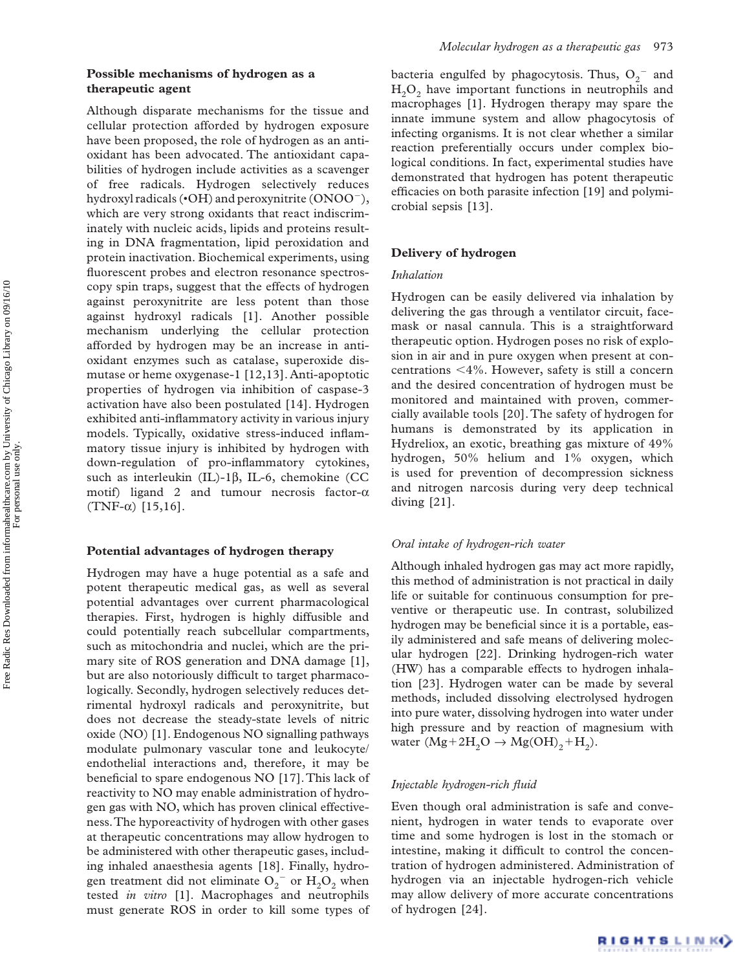Although disparate mechanisms for the tissue and cellular protection afforded by hydrogen exposure have been proposed, the role of hydrogen as an antioxidant has been advocated. The antioxidant capabilities of hydrogen include activities as a scavenger of free radicals. Hydrogen selectively reduces hydroxyl radicals ( $\cdot$ OH) and peroxynitrite (ONOO<sup>-</sup>), which are very strong oxidants that react indiscriminately with nucleic acids, lipids and proteins resulting in DNA fragmentation, lipid peroxidation and protein inactivation. Biochemical experiments, using fluorescent probes and electron resonance spectroscopy spin traps, suggest that the effects of hydrogen against peroxynitrite are less potent than those against hydroxyl radicals [1]. Another possible mechanism underlying the cellular protection afforded by hydrogen may be an increase in antioxidant enzymes such as catalase, superoxide dismutase or heme oxygenase-1 [12,13]. Anti-apoptotic properties of hydrogen via inhibition of caspase-3 activation have also been postulated [14]. Hydrogen exhibited anti-inflammatory activity in various injury models. Typically, oxidative stress-induced inflammatory tissue injury is inhibited by hydrogen with down-regulation of pro-inflammatory cytokines, such as interleukin (IL)-1β, IL-6, chemokine (CC motif) ligand 2 and tumour necrosis factor- $\alpha$ (TNF-α)  $[15,16]$ .

## **Potential advantages of hydrogen therapy**

Hydrogen may have a huge potential as a safe and potent therapeutic medical gas, as well as several potential advantages over current pharmacological therapies. First, hydrogen is highly diffusible and could potentially reach subcellular compartments, such as mitochondria and nuclei, which are the primary site of ROS generation and DNA damage [1], but are also notoriously difficult to target pharmacologically. Secondly, hydrogen selectively reduces detrimental hydroxyl radicals and peroxynitrite, but does not decrease the steady-state levels of nitric oxide (NO) [1]. Endogenous NO signalling pathways modulate pulmonary vascular tone and leukocyte/ endothelial interactions and, therefore, it may be beneficial to spare endogenous NO [17]. This lack of reactivity to NO may enable administration of hydrogen gas with NO, which has proven clinical effectiveness. The hyporeactivity of hydrogen with other gases at therapeutic concentrations may allow hydrogen to be administered with other therapeutic gases, including inhaled anaesthesia agents [18]. Finally, hydrogen treatment did not eliminate  $O_2$ <sup>-</sup> or  $H_2O_2$  when tested *in vitro* [1]. Macrophages and neutrophils must generate ROS in order to kill some types of

bacteria engulfed by phagocytosis. Thus,  $O_2^-$  and  $H_2O_2$  have important functions in neutrophils and macrophages [1]. Hydrogen therapy may spare the innate immune system and allow phagocytosis of infecting organisms. It is not clear whether a similar reaction preferentially occurs under complex biological conditions. In fact, experimental studies have demonstrated that hydrogen has potent therapeutic efficacies on both parasite infection [19] and polymicrobial sepsis [13].

# **Delivery of hydrogen**

## *Inhalation*

Hydrogen can be easily delivered via inhalation by delivering the gas through a ventilator circuit, facemask or nasal cannula. This is a straightforward therapeutic option. Hydrogen poses no risk of explosion in air and in pure oxygen when present at concentrations  $\langle 4\% \rangle$ . However, safety is still a concern and the desired concentration of hydrogen must be monitored and maintained with proven, commercially available tools [20]. The safety of hydrogen for humans is demonstrated by its application in Hydreliox, an exotic, breathing gas mixture of 49% hydrogen, 50% helium and 1% oxygen, which is used for prevention of decompression sickness and nitrogen narcosis during very deep technical diving [21].

# *Oral intake of hydrogen-rich water*

Although inhaled hydrogen gas may act more rapidly, this method of administration is not practical in daily life or suitable for continuous consumption for preventive or therapeutic use. In contrast, solubilized hydrogen may be beneficial since it is a portable, easily administered and safe means of delivering molecular hydrogen [22]. Drinking hydrogen-rich water (HW) has a comparable effects to hydrogen inhalation [23]. Hydrogen water can be made by several methods, included dissolving electrolysed hydrogen into pure water, dissolving hydrogen into water under high pressure and by reaction of magnesium with water  $(Mg+2H_2O \rightarrow Mg(OH)_2 + H_2)$ .

#### *Injectable hydrogen-rich fluid*

Even though oral administration is safe and convenient, hydrogen in water tends to evaporate over time and some hydrogen is lost in the stomach or intestine, making it difficult to control the concentration of hydrogen administered. Administration of hydrogen via an injectable hydrogen-rich vehicle may allow delivery of more accurate concentrations of hydrogen [24].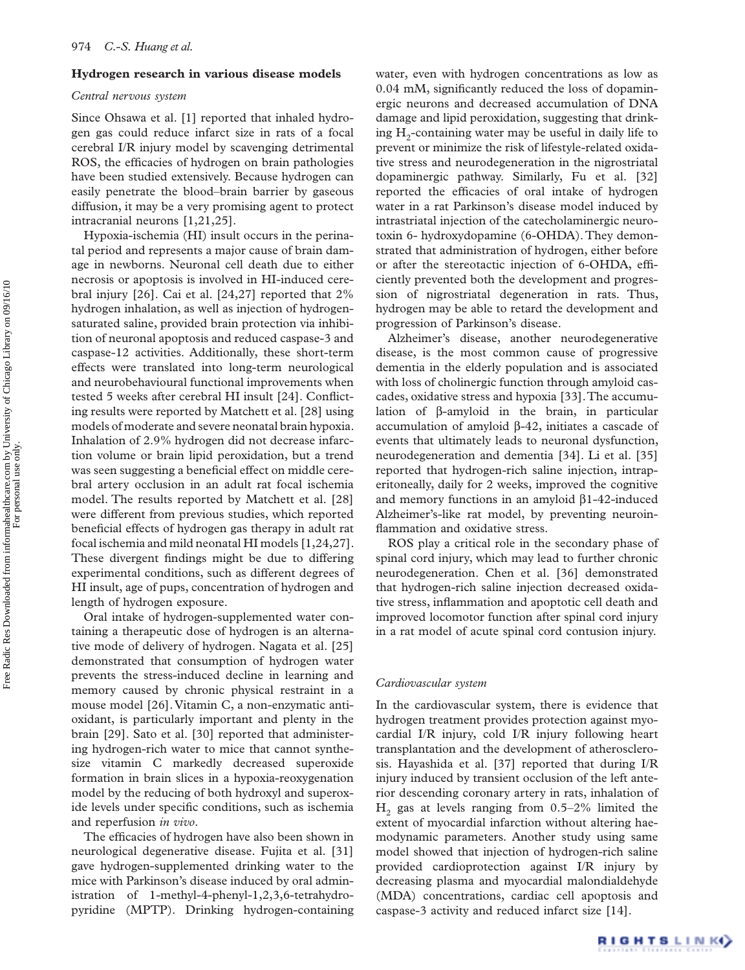# **Hydrogen research in various disease models**

#### *Central nervous system*

Since Ohsawa et al. [1] reported that inhaled hydrogen gas could reduce infarct size in rats of a focal cerebral I/R injury model by scavenging detrimental ROS, the efficacies of hydrogen on brain pathologies have been studied extensively. Because hydrogen can easily penetrate the blood-brain barrier by gaseous diffusion, it may be a very promising agent to protect intracranial neurons [1,21,25].

Hypoxia-ischemia (HI) insult occurs in the perinatal period and represents a major cause of brain damage in newborns. Neuronal cell death due to either necrosis or apoptosis is involved in HI-induced cerebral injury [26]. Cai et al. [24,27] reported that 2% hydrogen inhalation, as well as injection of hydrogensaturated saline, provided brain protection via inhibition of neuronal apoptosis and reduced caspase-3 and caspase-12 activities. Additionally, these short-term effects were translated into long-term neurological and neurobehavioural functional improvements when tested 5 weeks after cerebral HI insult [24]. Conflicting results were reported by Matchett et al. [28] using models of moderate and severe neonatal brain hypoxia. Inhalation of 2.9% hydrogen did not decrease infarction volume or brain lipid peroxidation, but a trend was seen suggesting a beneficial effect on middle cerebral artery occlusion in an adult rat focal ischemia model. The results reported by Matchett et al. [28] were different from previous studies, which reported beneficial effects of hydrogen gas therapy in adult rat focal ischemia and mild neonatal HI models [1,24,27]. These divergent findings might be due to differing experimental conditions, such as different degrees of HI insult, age of pups, concentration of hydrogen and length of hydrogen exposure.

Oral intake of hydrogen-supplemented water containing a therapeutic dose of hydrogen is an alternative mode of delivery of hydrogen. Nagata et al. [25] demonstrated that consumption of hydrogen water prevents the stress-induced decline in learning and memory caused by chronic physical restraint in a mouse model [26]. Vitamin C, a non-enzymatic antioxidant, is particularly important and plenty in the brain [29]. Sato et al. [30] reported that administering hydrogen-rich water to mice that cannot synthesize vitamin C markedly decreased superoxide formation in brain slices in a hypoxia-reoxygenation model by the reducing of both hydroxyl and superoxide levels under specific conditions, such as ischemia and reperfusion *in vivo*.

The efficacies of hydrogen have also been shown in neurological degenerative disease. Fujita et al. [31] gave hydrogen-supplemented drinking water to the mice with Parkinson's disease induced by oral administration of 1-methyl-4-phenyl-1,2,3,6-tetrahydropyridine (MPTP). Drinking hydrogen-containing water, even with hydrogen concentrations as low as  $0.04$  mM, significantly reduced the loss of dopaminergic neurons and decreased accumulation of DNA damage and lipid peroxidation, suggesting that drinking  $H_2$ -containing water may be useful in daily life to prevent or minimize the risk of lifestyle-related oxidative stress and neurodegeneration in the nigrostriatal dopaminergic pathway. Similarly, Fu et al. [32] reported the efficacies of oral intake of hydrogen water in a rat Parkinson's disease model induced by intrastriatal injection of the catecholaminergic neurotoxin 6- hydroxydopamine (6-OHDA). They demonstrated that administration of hydrogen, either before or after the stereotactic injection of 6-OHDA, efficiently prevented both the development and progression of nigrostriatal degeneration in rats. Thus, hydrogen may be able to retard the development and progression of Parkinson's disease.

Alzheimer's disease, another neurodegenerative disease, is the most common cause of progressive dementia in the elderly population and is associated with loss of cholinergic function through amyloid cascades, oxidative stress and hypoxia [33]. The accumulation of β-amyloid in the brain, in particular accumulation of amyloid β-42, initiates a cascade of events that ultimately leads to neuronal dysfunction, neurodegeneration and dementia [34]. Li et al. [35] reported that hydrogen-rich saline injection, intraperitoneally, daily for 2 weeks, improved the cognitive and memory functions in an amyloid β1-42-induced Alzheimer's-like rat model, by preventing neuroinflammation and oxidative stress.

ROS play a critical role in the secondary phase of spinal cord injury, which may lead to further chronic neurodegeneration. Chen et al. [36] demonstrated that hydrogen-rich saline injection decreased oxidative stress, inflammation and apoptotic cell death and improved locomotor function after spinal cord injury in a rat model of acute spinal cord contusion injury.

#### *Cardiovascular system*

In the cardiovascular system, there is evidence that hydrogen treatment provides protection against myocardial I/R injury, cold I/R injury following heart transplantation and the development of atherosclerosis. Hayashida et al. [37] reported that during I/R injury induced by transient occlusion of the left anterior descending coronary artery in rats, inhalation of  $H<sub>2</sub>$  gas at levels ranging from 0.5–2% limited the extent of myocardial infarction without altering haemodynamic parameters. Another study using same model showed that injection of hydrogen-rich saline provided cardioprotection against I/R injury by decreasing plasma and myocardial malondialdehyde (MDA) concentrations, cardiac cell apoptosis and caspase-3 activity and reduced infarct size [14].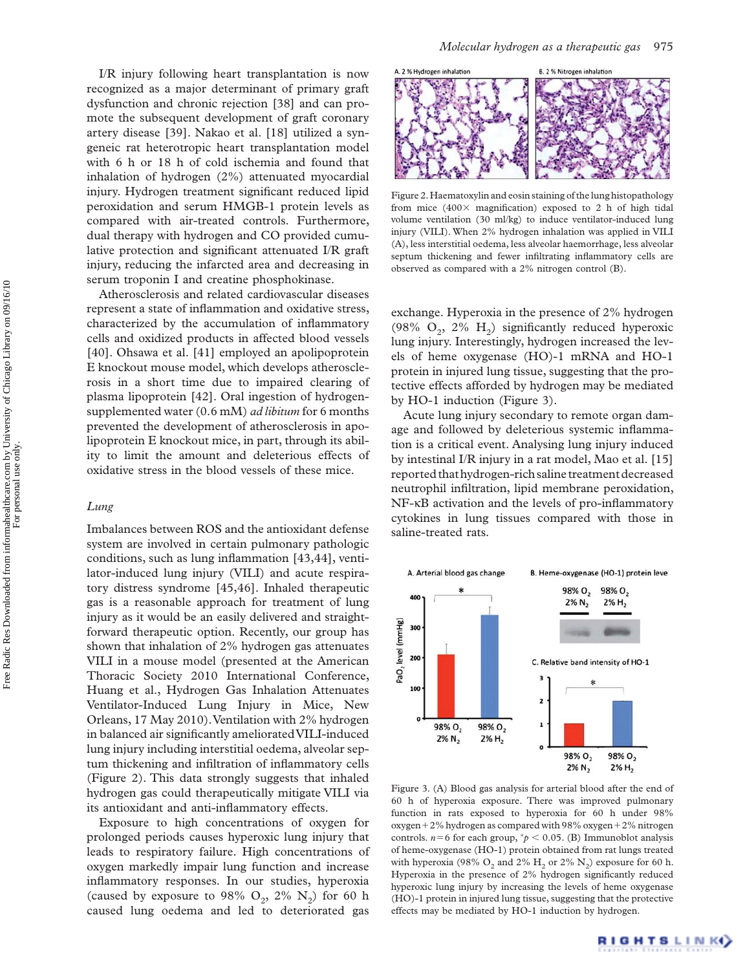I/R injury following heart transplantation is now recognized as a major determinant of primary graft dysfunction and chronic rejection [38] and can promote the subsequent development of graft coronary artery disease [39]. Nakao et al. [18] utilized a syngeneic rat heterotropic heart transplantation model with 6 h or 18 h of cold ischemia and found that inhalation of hydrogen (2%) attenuated myocardial injury. Hydrogen treatment significant reduced lipid peroxidation and serum HMGB-1 protein levels as compared with air-treated controls. Furthermore, dual therapy with hydrogen and CO provided cumulative protection and significant attenuated  $I/R$  graft injury, reducing the infarcted area and decreasing in serum troponin I and creatine phosphokinase.

Atherosclerosis and related cardiovascular diseases represent a state of inflammation and oxidative stress, characterized by the accumulation of inflammatory cells and oxidized products in affected blood vessels [40]. Ohsawa et al. [41] employed an apolipoprotein E knockout mouse model, which develops atherosclerosis in a short time due to impaired clearing of plasma lipoprotein [42]. Oral ingestion of hydrogensupplemented water (0.6 mM) *ad libitum* for 6 months prevented the development of atherosclerosis in apolipoprotein E knockout mice, in part, through its ability to limit the amount and deleterious effects of oxidative stress in the blood vessels of these mice.

## *Lung*

Imbalances between ROS and the antioxidant defense system are involved in certain pulmonary pathologic conditions, such as lung inflammation  $[43, 44]$ , ventilator-induced lung injury (VILI) and acute respiratory distress syndrome [45,46]. Inhaled therapeutic gas is a reasonable approach for treatment of lung injury as it would be an easily delivered and straightforward therapeutic option. Recently, our group has shown that inhalation of 2% hydrogen gas attenuates VILI in a mouse model (presented at the American Thoracic Society 2010 International Conference, Huang et al., Hydrogen Gas Inhalation Attenuates Ventilator-Induced Lung Injury in Mice, New Orleans, 17 May 2010). Ventilation with 2% hydrogen in balanced air significantly ameliorated VILI-induced lung injury including interstitial oedema, alveolar septum thickening and infiltration of inflammatory cells (Figure 2). This data strongly suggests that inhaled hydrogen gas could therapeutically mitigate VILI via its antioxidant and anti-inflammatory effects.

Exposure to high concentrations of oxygen for prolonged periods causes hyperoxic lung injury that leads to respiratory failure. High concentrations of oxygen markedly impair lung function and increase inflammatory responses. In our studies, hyperoxia (caused by exposure to 98%  $O_2$ , 2%  $N_2$ ) for 60 h caused lung oedema and led to deteriorated gas



Figure 2.Haematoxylin and eosin staining of the lung histopathology from mice (400 $\times$  magnification) exposed to 2 h of high tidal volume ventilation (30 ml/kg) to induce ventilator-induced lung injury (VILI). When 2% hydrogen inhalation was applied in VILI (A), less interstitial oedema, less alveolar haemorrhage, less alveolar septum thickening and fewer infiltrating inflammatory cells are observed as compared with a 2% nitrogen control (B).

exchange. Hyperoxia in the presence of 2% hydrogen (98%  $O_2$ , 2%  $H_2$ ) significantly reduced hyperoxic lung injury. Interestingly, hydrogen increased the levels of heme oxygenase (HO)-1 mRNA and HO-1 protein in injured lung tissue, suggesting that the protective effects afforded by hydrogen may be mediated by HO-1 induction (Figure 3).

Acute lung injury secondary to remote organ damage and followed by deleterious systemic inflammation is a critical event. Analysing lung injury induced by intestinal I/R injury in a rat model, Mao et al. [15] reported that hydrogen-rich saline treatment decreased neutrophil infiltration, lipid membrane peroxidation, NF- κB activation and the levels of pro-inflammatory cytokines in lung tissues compared with those in saline-treated rats.



Figure 3.(A) Blood gas analysis for arterial blood after the end of 60 h of hyperoxia exposure. There was improved pulmonary function in rats exposed to hyperoxia for 60 h under 98% oxygen  $+2\%$  hydrogen as compared with 98% oxygen  $+2\%$  nitrogen controls.  $n=6$  for each group,  $p < 0.05$ . (B) Immunoblot analysis of heme-oxygenase (HO-1) protein obtained from rat lungs treated with hyperoxia (98%  $O_2$  and 2%  $H_2$  or 2%  $N_2$ ) exposure for 60 h. Hyperoxia in the presence of 2% hydrogen significantly reduced hyperoxic lung injury by increasing the levels of heme oxygenase (HO)-1 protein in injured lung tissue, suggesting that the protective effects may be mediated by HO-1 induction by hydrogen.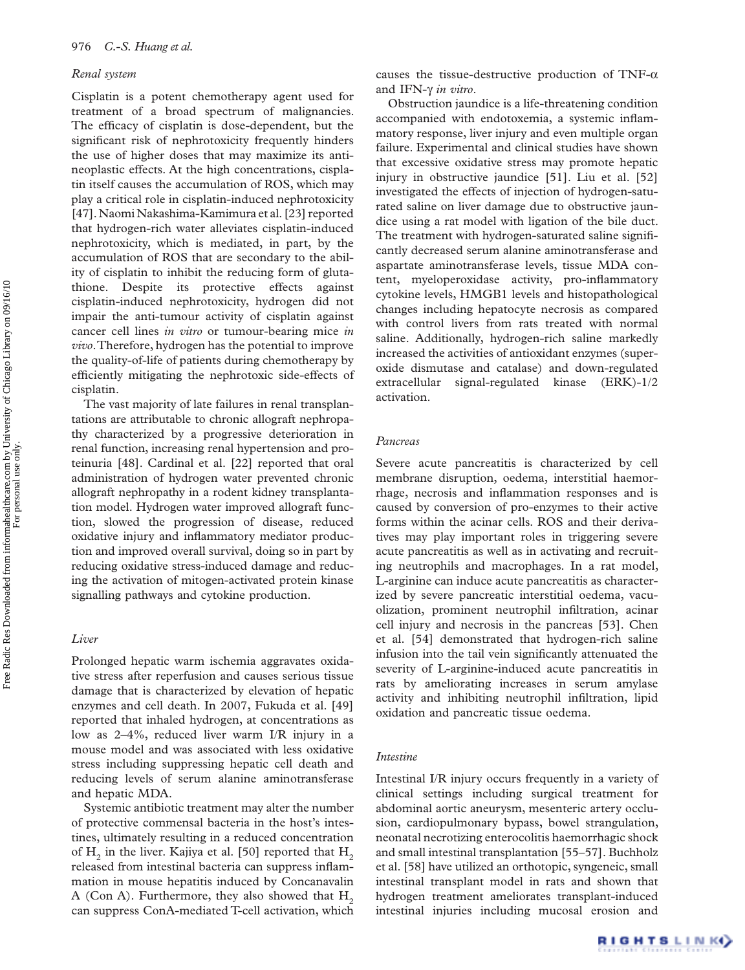## *Renal system*

Cisplatin is a potent chemotherapy agent used for treatment of a broad spectrum of malignancies. The efficacy of cisplatin is dose-dependent, but the significant risk of nephrotoxicity frequently hinders the use of higher doses that may maximize its antineoplastic effects. At the high concentrations, cisplatin itself causes the accumulation of ROS, which may play a critical role in cisplatin-induced nephrotoxicity [47]. Naomi Nakashima-Kamimura et al. [23] reported that hydrogen-rich water alleviates cisplatin-induced nephrotoxicity, which is mediated, in part, by the accumulation of ROS that are secondary to the ability of cisplatin to inhibit the reducing form of glutathione. Despite its protective effects against cisplatin-induced nephrotoxicity, hydrogen did not impair the anti-tumour activity of cisplatin against cancer cell lines *in vitro* or tumour-bearing mice *in vivo*. Therefore, hydrogen has the potential to improve the quality-of-life of patients during chemotherapy by efficiently mitigating the nephrotoxic side-effects of cisplatin.

The vast majority of late failures in renal transplantations are attributable to chronic allograft nephropathy characterized by a progressive deterioration in renal function, increasing renal hypertension and proteinuria [48]. Cardinal et al. [22] reported that oral administration of hydrogen water prevented chronic allograft nephropathy in a rodent kidney transplantation model. Hydrogen water improved allograft function, slowed the progression of disease, reduced oxidative injury and inflammatory mediator production and improved overall survival, doing so in part by reducing oxidative stress-induced damage and reducing the activation of mitogen-activated protein kinase signalling pathways and cytokine production.

# *Liver*

Prolonged hepatic warm ischemia aggravates oxidative stress after reperfusion and causes serious tissue damage that is characterized by elevation of hepatic enzymes and cell death. In 2007, Fukuda et al. [49] reported that inhaled hydrogen, at concentrations as low as  $2-4\%$ , reduced liver warm I/R injury in a mouse model and was associated with less oxidative stress including suppressing hepatic cell death and reducing levels of serum alanine aminotransferase and hepatic MDA.

Systemic antibiotic treatment may alter the number of protective commensal bacteria in the host's intestines, ultimately resulting in a reduced concentration of  $H_2$  in the liver. Kajiya et al. [50] reported that  $H_2$ released from intestinal bacteria can suppress inflammation in mouse hepatitis induced by Concanavalin A (Con A). Furthermore, they also showed that  $H_2$ can suppress ConA-mediated T-cell activation, which causes the tissue-destructive production of TNF- $\alpha$ and IFN-γ *in vitro*.

Obstruction jaundice is a life-threatening condition accompanied with endotoxemia, a systemic inflammatory response, liver injury and even multiple organ failure. Experimental and clinical studies have shown that excessive oxidative stress may promote hepatic injury in obstructive jaundice [51]. Liu et al. [52] investigated the effects of injection of hydrogen-saturated saline on liver damage due to obstructive jaundice using a rat model with ligation of the bile duct. The treatment with hydrogen-saturated saline significantly decreased serum alanine aminotransferase and aspartate aminotransferase levels, tissue MDA content, myeloperoxidase activity, pro-inflammatory cytokine levels, HMGB1 levels and histopathological changes including hepatocyte necrosis as compared with control livers from rats treated with normal saline. Additionally, hydrogen-rich saline markedly increased the activities of antioxidant enzymes (superoxide dismutase and catalase) and down-regulated extracellular signal-regulated kinase (ERK)-1/2 activation.

#### *Pancreas*

Severe acute pancreatitis is characterized by cell membrane disruption, oedema, interstitial haemorrhage, necrosis and inflammation responses and is caused by conversion of pro-enzymes to their active forms within the acinar cells. ROS and their derivatives may play important roles in triggering severe acute pancreatitis as well as in activating and recruiting neutrophils and macrophages. In a rat model, L-arginine can induce acute pancreatitis as characterized by severe pancreatic interstitial oedema, vacuolization, prominent neutrophil infiltration, acinar cell injury and necrosis in the pancreas [53]. Chen et al. [54] demonstrated that hydrogen-rich saline infusion into the tail vein significantly attenuated the severity of L-arginine-induced acute pancreatitis in rats by ameliorating increases in serum amylase activity and inhibiting neutrophil infiltration, lipid oxidation and pancreatic tissue oedema.

## *Intestine*

Intestinal I/R injury occurs frequently in a variety of clinical settings including surgical treatment for abdominal aortic aneurysm, mesenteric artery occlusion, cardiopulmonary bypass, bowel strangulation, neonatal necrotizing enterocolitis haemorrhagic shock and small intestinal transplantation [55–57]. Buchholz et al. [58] have utilized an orthotopic, syngeneic, small intestinal transplant model in rats and shown that hydrogen treatment ameliorates transplant-induced intestinal injuries including mucosal erosion and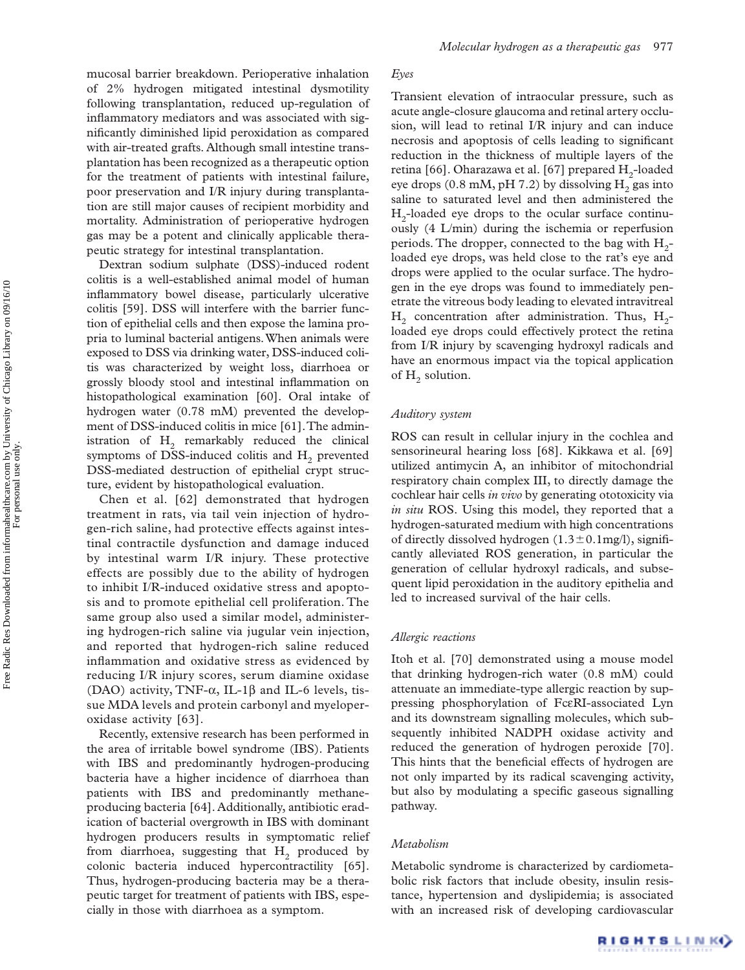*Molecular hydrogen as a therapeutic gas* 977

mucosal barrier breakdown. Perioperative inhalation of 2% hydrogen mitigated intestinal dysmotility following transplantation, reduced up-regulation of inflammatory mediators and was associated with significantly diminished lipid peroxidation as compared with air-treated grafts. Although small intestine transplantation has been recognized as a therapeutic option for the treatment of patients with intestinal failure, poor preservation and I/R injury during transplantation are still major causes of recipient morbidity and mortality. Administration of perioperative hydrogen gas may be a potent and clinically applicable therapeutic strategy for intestinal transplantation.

Dextran sodium sulphate (DSS)-induced rodent colitis is a well-established animal model of human inflammatory bowel disease, particularly ulcerative colitis [59]. DSS will interfere with the barrier function of epithelial cells and then expose the lamina propria to luminal bacterial antigens. When animals were exposed to DSS via drinking water, DSS-induced colitis was characterized by weight loss, diarrhoea or grossly bloody stool and intestinal inflammation on histopathological examination [60]. Oral intake of hydrogen water (0.78 mM) prevented the development of DSS-induced colitis in mice [61]. The administration of  $H_2$  remarkably reduced the clinical symptoms of DSS-induced colitis and  $H<sub>2</sub>$  prevented DSS-mediated destruction of epithelial crypt structure, evident by histopathological evaluation.

Chen et al. [62] demonstrated that hydrogen treatment in rats, via tail vein injection of hydrogen-rich saline, had protective effects against intestinal contractile dysfunction and damage induced by intestinal warm I/R injury. These protective effects are possibly due to the ability of hydrogen to inhibit I/R-induced oxidative stress and apoptosis and to promote epithelial cell proliferation. The same group also used a similar model, administering hydrogen-rich saline via jugular vein injection, and reported that hydrogen-rich saline reduced inflammation and oxidative stress as evidenced by reducing I/R injury scores, serum diamine oxidase (DAO) activity, TNF- $\alpha$ , IL-1 $\beta$  and IL-6 levels, tissue MDA levels and protein carbonyl and myeloperoxidase activity [63].

Recently, extensive research has been performed in the area of irritable bowel syndrome (IBS). Patients with IBS and predominantly hydrogen-producing bacteria have a higher incidence of diarrhoea than patients with IBS and predominantly methaneproducing bacteria [64]. Additionally, antibiotic eradication of bacterial overgrowth in IBS with dominant hydrogen producers results in symptomatic relief from diarrhoea, suggesting that  $H_2$  produced by colonic bacteria induced hypercontractility [65]. Thus, hydrogen-producing bacteria may be a therapeutic target for treatment of patients with IBS, especially in those with diarrhoea as a symptom.

# *Eyes*

Transient elevation of intraocular pressure, such as acute angle-closure glaucoma and retinal artery occlusion, will lead to retinal I/R injury and can induce necrosis and apoptosis of cells leading to significant reduction in the thickness of multiple layers of the retina [66]. Oharazawa et al. [67] prepared  $H_2$ -loaded eye drops (0.8 mM, pH 7.2) by dissolving  $H_2$  gas into saline to saturated level and then administered the  $H_2$ -loaded eye drops to the ocular surface continuously (4 L/min) during the ischemia or reperfusion periods. The dropper, connected to the bag with  $H_2$ loaded eye drops, was held close to the rat's eye and drops were applied to the ocular surface. The hydrogen in the eye drops was found to immediately penetrate the vitreous body leading to elevated intravitreal  $H_2$  concentration after administration. Thus,  $H_2$ loaded eye drops could effectively protect the retina from I/R injury by scavenging hydroxyl radicals and have an enormous impact via the topical application of  $H_2$  solution.

# *Auditory system*

ROS can result in cellular injury in the cochlea and sensorineural hearing loss [68]. Kikkawa et al. [69] utilized antimycin A, an inhibitor of mitochondrial respiratory chain complex III, to directly damage the cochlear hair cells *in vivo* by generating ototoxicity via *in situ* ROS. Using this model, they reported that a hydrogen-saturated medium with high concentrations of directly dissolved hydrogen  $(1.3 \pm 0.1 \text{mg/l})$ , significantly alleviated ROS generation, in particular the generation of cellular hydroxyl radicals, and subsequent lipid peroxidation in the auditory epithelia and led to increased survival of the hair cells.

# *Allergic reactions*

Itoh et al. [70] demonstrated using a mouse model that drinking hydrogen-rich water (0.8 mM) could attenuate an immediate-type allergic reaction by suppressing phosphorylation of Fc eRI-associated Lyn and its downstream signalling molecules, which subsequently inhibited NADPH oxidase activity and reduced the generation of hydrogen peroxide [70]. This hints that the beneficial effects of hydrogen are not only imparted by its radical scavenging activity, but also by modulating a specific gaseous signalling pathway.

# *Metabolism*

Metabolic syndrome is characterized by cardiometabolic risk factors that include obesity, insulin resistance, hypertension and dyslipidemia; is associated with an increased risk of developing cardiovascular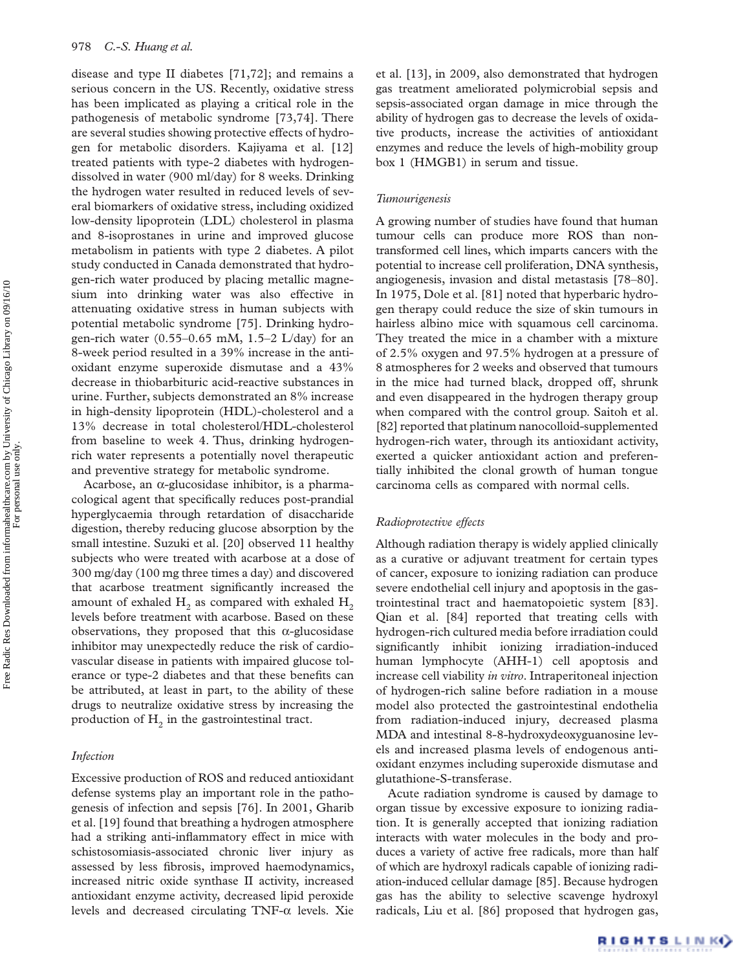disease and type II diabetes [71,72]; and remains a serious concern in the US. Recently, oxidative stress has been implicated as playing a critical role in the pathogenesis of metabolic syndrome [73,74]. There are several studies showing protective effects of hydrogen for metabolic disorders. Kajiyama et al. [12] treated patients with type-2 diabetes with hydrogendissolved in water (900 ml/day) for 8 weeks. Drinking the hydrogen water resulted in reduced levels of several biomarkers of oxidative stress, including oxidized low-density lipoprotein (LDL) cholesterol in plasma and 8-isoprostanes in urine and improved glucose metabolism in patients with type 2 diabetes. A pilot study conducted in Canada demonstrated that hydrogen-rich water produced by placing metallic magnesium into drinking water was also effective in attenuating oxidative stress in human subjects with potential metabolic syndrome [75]. Drinking hydrogen-rich water  $(0.55-0.65$  mM,  $1.5-2$  L/day) for an 8-week period resulted in a 39% increase in the antioxidant enzyme superoxide dismutase and a 43% decrease in thiobarbituric acid-reactive substances in urine. Further, subjects demonstrated an 8% increase in high-density lipoprotein (HDL)-cholesterol and a 13% decrease in total cholesterol/HDL-cholesterol from baseline to week 4. Thus, drinking hydrogenrich water represents a potentially novel therapeutic and preventive strategy for metabolic syndrome.

Acarbose, an  $\alpha$ -glucosidase inhibitor, is a pharmacological agent that specifically reduces post-prandial hyperglycaemia through retardation of disaccharide digestion, thereby reducing glucose absorption by the small intestine. Suzuki et al. [20] observed 11 healthy subjects who were treated with acarbose at a dose of 300 mg/day (100 mg three times a day) and discovered that acarbose treatment significantly increased the amount of exhaled  $H_2$  as compared with exhaled  $H_2$ levels before treatment with acarbose. Based on these observations, they proposed that this  $\alpha$ -glucosidase inhibitor may unexpectedly reduce the risk of cardiovascular disease in patients with impaired glucose tolerance or type-2 diabetes and that these benefits can be attributed, at least in part, to the ability of these drugs to neutralize oxidative stress by increasing the production of  $H_2$  in the gastrointestinal tract.

# *Infection*

Excessive production of ROS and reduced antioxidant defense systems play an important role in the pathogenesis of infection and sepsis [76]. In 2001, Gharib et al. [19] found that breathing a hydrogen atmosphere had a striking anti-inflammatory effect in mice with schistosomiasis-associated chronic liver injury as assessed by less fibrosis, improved haemodynamics, increased nitric oxide synthase II activity, increased antioxidant enzyme activity, decreased lipid peroxide levels and decreased circulating  $TNF-\alpha$  levels. Xie et al. [13], in 2009, also demonstrated that hydrogen gas treatment ameliorated polymicrobial sepsis and sepsis-associated organ damage in mice through the ability of hydrogen gas to decrease the levels of oxidative products, increase the activities of antioxidant enzymes and reduce the levels of high-mobility group box 1 (HMGB1) in serum and tissue.

# *Tumourigenesis*

A growing number of studies have found that human tumour cells can produce more ROS than nontransformed cell lines, which imparts cancers with the potential to increase cell proliferation, DNA synthesis, angiogenesis, invasion and distal metastasis [78-80]. In 1975, Dole et al. [81] noted that hyperbaric hydrogen therapy could reduce the size of skin tumours in hairless albino mice with squamous cell carcinoma. They treated the mice in a chamber with a mixture of 2.5% oxygen and 97.5% hydrogen at a pressure of 8 atmospheres for 2 weeks and observed that tumours in the mice had turned black, dropped off, shrunk and even disappeared in the hydrogen therapy group when compared with the control group. Saitoh et al. [82] reported that platinum nanocolloid-supplemented hydrogen-rich water, through its antioxidant activity, exerted a quicker antioxidant action and preferentially inhibited the clonal growth of human tongue carcinoma cells as compared with normal cells.

#### *Radioprotective effects*

Although radiation therapy is widely applied clinically as a curative or adjuvant treatment for certain types of cancer, exposure to ionizing radiation can produce severe endothelial cell injury and apoptosis in the gastrointestinal tract and haematopoietic system [83]. Qian et al. [84] reported that treating cells with hydrogen-rich cultured media before irradiation could significantly inhibit ionizing irradiation-induced human lymphocyte (AHH-1) cell apoptosis and increase cell viability *in vitro*. Intraperitoneal injection of hydrogen-rich saline before radiation in a mouse model also protected the gastrointestinal endothelia from radiation-induced injury, decreased plasma MDA and intestinal 8-8-hydroxydeoxyguanosine levels and increased plasma levels of endogenous antioxidant enzymes including superoxide dismutase and glutathione-S-transferase.

Acute radiation syndrome is caused by damage to organ tissue by excessive exposure to ionizing radiation. It is generally accepted that ionizing radiation interacts with water molecules in the body and produces a variety of active free radicals, more than half of which are hydroxyl radicals capable of ionizing radiation-induced cellular damage [85]. Because hydrogen gas has the ability to selective scavenge hydroxyl radicals, Liu et al. [86] proposed that hydrogen gas,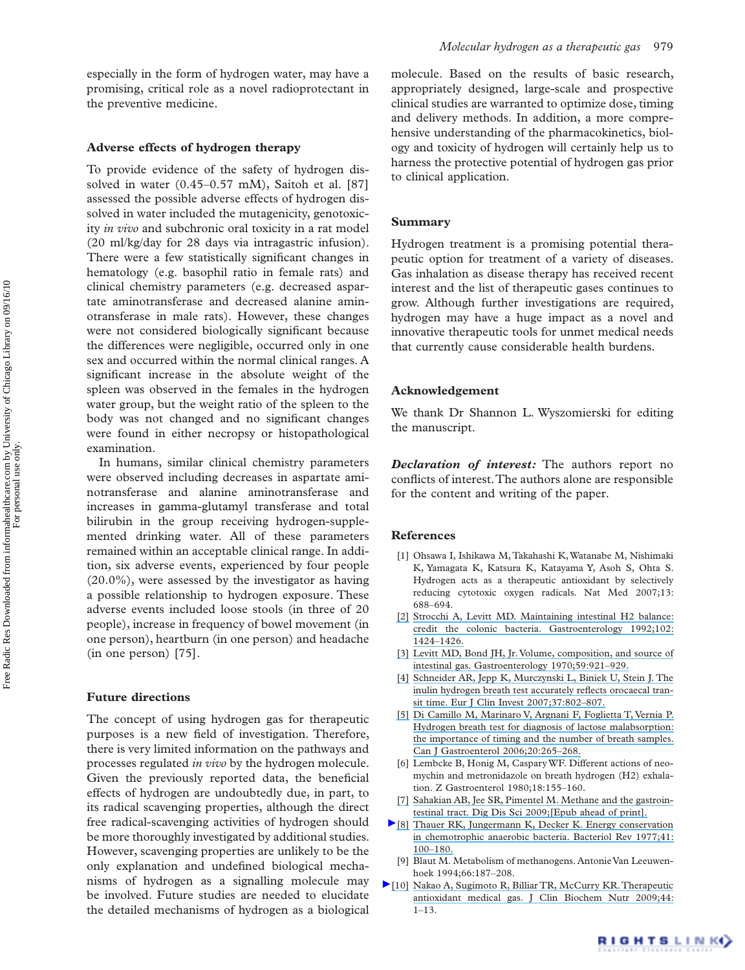especially in the form of hydrogen water, may have a promising, critical role as a novel radioprotectant in the preventive medicine.

#### **Adverse effects of hydrogen therapy**

To provide evidence of the safety of hydrogen dissolved in water  $(0.45-0.57$  mM), Saitoh et al. [87] assessed the possible adverse effects of hydrogen dissolved in water included the mutagenicity, genotoxicity *in vivo* and subchronic oral toxicity in a rat model (20 ml/kg/day for 28 days via intragastric infusion). There were a few statistically significant changes in hematology (e.g. basophil ratio in female rats) and clinical chemistry parameters (e.g. decreased aspartate aminotransferase and decreased alanine aminotransferase in male rats). However, these changes were not considered biologically significant because the differences were negligible, occurred only in one sex and occurred within the normal clinical ranges. A significant increase in the absolute weight of the spleen was observed in the females in the hydrogen water group, but the weight ratio of the spleen to the body was not changed and no significant changes were found in either necropsy or histopathological examination.

In humans, similar clinical chemistry parameters were observed including decreases in aspartate aminotransferase and alanine aminotransferase and increases in gamma-glutamyl transferase and total bilirubin in the group receiving hydrogen-supplemented drinking water. All of these parameters remained within an acceptable clinical range. In addition, six adverse events, experienced by four people (20.0%), were assessed by the investigator as having a possible relationship to hydrogen exposure. These adverse events included loose stools (in three of 20 people), increase in frequency of bowel movement (in one person), heartburn (in one person) and headache (in one person) [75].

#### **Future directions**

The concept of using hydrogen gas for therapeutic purposes is a new field of investigation. Therefore, there is very limited information on the pathways and processes regulated *in vivo* by the hydrogen molecule. Given the previously reported data, the beneficial effects of hydrogen are undoubtedly due, in part, to its radical scavenging properties, although the direct free radical-scavenging activities of hydrogen should be more thoroughly investigated by additional studies. However, scavenging properties are unlikely to be the only explanation and undefined biological mechanisms of hydrogen as a signalling molecule may be involved. Future studies are needed to elucidate the detailed mechanisms of hydrogen as a biological molecule. Based on the results of basic research, appropriately designed, large-scale and prospective clinical studies are warranted to optimize dose, timing and delivery methods. In addition, a more comprehensive understanding of the pharmacokinetics, biology and toxicity of hydrogen will certainly help us to harness the protective potential of hydrogen gas prior to clinical application.

#### **Summary**

Hydrogen treatment is a promising potential therapeutic option for treatment of a variety of diseases. Gas inhalation as disease therapy has received recent interest and the list of therapeutic gases continues to grow. Although further investigations are required, hydrogen may have a huge impact as a novel and innovative therapeutic tools for unmet medical needs that currently cause considerable health burdens.

# **Acknowledgement**

We thank Dr Shannon L. Wyszomierski for editing the manuscript.

*Declaration of interest:* The authors report no conflicts of interest. The authors alone are responsible for the content and writing of the paper.

#### **References**

- [1] Ohsawa I, Ishikawa M, Takahashi K, Watanabe M, Nishimaki K, Yamagata K, Katsura K, Katayama Y, Asoh S, Ohta S. Hydrogen acts as a therapeutic antioxidant by selectively reducing cytotoxic oxygen radicals. Nat Med 2007;13: 688 – 694.
- [\[2\] Strocchi A, Levitt MD. Maintaining intestinal H2 balance:](https://www.researchgate.net/publication/21603281_Maintaining_intestinal_H2_balance_Credit_the_colonic_bacteria?el=1_x_8&enrichId=rgreq-af08f6df-b514-460f-b253-7f689bb4e3a8&enrichSource=Y292ZXJQYWdlOzQ2MTQ3MTI3O0FTOjk5MTY5NzcxNDU4NTc4QDE0MDA2NTUzMjYxNTc=) [credit the colonic bacteria. Gastroenterology 1992;102:](https://www.researchgate.net/publication/21603281_Maintaining_intestinal_H2_balance_Credit_the_colonic_bacteria?el=1_x_8&enrichId=rgreq-af08f6df-b514-460f-b253-7f689bb4e3a8&enrichSource=Y292ZXJQYWdlOzQ2MTQ3MTI3O0FTOjk5MTY5NzcxNDU4NTc4QDE0MDA2NTUzMjYxNTc=) [1424 – 1426.](https://www.researchgate.net/publication/21603281_Maintaining_intestinal_H2_balance_Credit_the_colonic_bacteria?el=1_x_8&enrichId=rgreq-af08f6df-b514-460f-b253-7f689bb4e3a8&enrichSource=Y292ZXJQYWdlOzQ2MTQ3MTI3O0FTOjk5MTY5NzcxNDU4NTc4QDE0MDA2NTUzMjYxNTc=)
- [\[3\] Levitt MD, Bond JH, Jr. Volume, composition, and source of](https://www.researchgate.net/publication/51276660_Volume_composition_and_source_of_intestinal_gas?el=1_x_8&enrichId=rgreq-af08f6df-b514-460f-b253-7f689bb4e3a8&enrichSource=Y292ZXJQYWdlOzQ2MTQ3MTI3O0FTOjk5MTY5NzcxNDU4NTc4QDE0MDA2NTUzMjYxNTc=)  intestinal gas. Gastroenterology 1970;59:921-929.
- [\[4\] Schneider AR, Jepp K, Murczynski L, Biniek U, Stein J. The](https://www.researchgate.net/publication/6112079_The_inulin_hydrogen_breath_test_accurately_reflects_orocaecal_transit_time?el=1_x_8&enrichId=rgreq-af08f6df-b514-460f-b253-7f689bb4e3a8&enrichSource=Y292ZXJQYWdlOzQ2MTQ3MTI3O0FTOjk5MTY5NzcxNDU4NTc4QDE0MDA2NTUzMjYxNTc=) inulin hydrogen breath test accurately reflects orocaecal transit time. Eur J Clin Invest 2007;37:802-807.
- [\[5\] Di Camillo M, Marinaro V, Argnani F, Foglietta T, Vernia P.](https://www.researchgate.net/publication/7169930_Hydrogen_Breath_Test_for_Diagnosis_of_Lactose_Malabsorption_The_Importance_of_Timing_and_the_Number_of_Breath_Samples?el=1_x_8&enrichId=rgreq-af08f6df-b514-460f-b253-7f689bb4e3a8&enrichSource=Y292ZXJQYWdlOzQ2MTQ3MTI3O0FTOjk5MTY5NzcxNDU4NTc4QDE0MDA2NTUzMjYxNTc=) [Hydrogen breath test for diagnosis of lactose malabsorption:](https://www.researchgate.net/publication/7169930_Hydrogen_Breath_Test_for_Diagnosis_of_Lactose_Malabsorption_The_Importance_of_Timing_and_the_Number_of_Breath_Samples?el=1_x_8&enrichId=rgreq-af08f6df-b514-460f-b253-7f689bb4e3a8&enrichSource=Y292ZXJQYWdlOzQ2MTQ3MTI3O0FTOjk5MTY5NzcxNDU4NTc4QDE0MDA2NTUzMjYxNTc=) [the importance of timing and the number of breath samples.](https://www.researchgate.net/publication/7169930_Hydrogen_Breath_Test_for_Diagnosis_of_Lactose_Malabsorption_The_Importance_of_Timing_and_the_Number_of_Breath_Samples?el=1_x_8&enrichId=rgreq-af08f6df-b514-460f-b253-7f689bb4e3a8&enrichSource=Y292ZXJQYWdlOzQ2MTQ3MTI3O0FTOjk5MTY5NzcxNDU4NTc4QDE0MDA2NTUzMjYxNTc=) Can J Gastroenterol 2006;20:265-268.
- [6] Lembcke B, Honig M, Caspary WF. Different actions of neomychin and metronidazole on breath hydrogen (H2) exhalation. Z Gastroenterol 1980;18:155-160.
- [\[7\] Sahakian AB, Jee SR, Pimentel M. Methane and the gastroin](https://www.researchgate.net/publication/38012950_Methane_and_the_Gastrointestinal_Tract?el=1_x_8&enrichId=rgreq-af08f6df-b514-460f-b253-7f689bb4e3a8&enrichSource=Y292ZXJQYWdlOzQ2MTQ3MTI3O0FTOjk5MTY5NzcxNDU4NTc4QDE0MDA2NTUzMjYxNTc=)[testinal tract. Dig Dis Sci 2009;\[Epub ahead of print\].](https://www.researchgate.net/publication/38012950_Methane_and_the_Gastrointestinal_Tract?el=1_x_8&enrichId=rgreq-af08f6df-b514-460f-b253-7f689bb4e3a8&enrichSource=Y292ZXJQYWdlOzQ2MTQ3MTI3O0FTOjk5MTY5NzcxNDU4NTc4QDE0MDA2NTUzMjYxNTc=)
- [\[8\] Thauer RK, Jungermann K, Decker K. Energy conservation](https://www.researchgate.net/publication/22293924_Energy-Conservation_in_Chemotropic_Anaerobic_Bacteria?el=1_x_8&enrichId=rgreq-af08f6df-b514-460f-b253-7f689bb4e3a8&enrichSource=Y292ZXJQYWdlOzQ2MTQ3MTI3O0FTOjk5MTY5NzcxNDU4NTc4QDE0MDA2NTUzMjYxNTc=) [in chemotrophic anaerobic bacteria. Bacteriol Rev 1977;41:](https://www.researchgate.net/publication/22293924_Energy-Conservation_in_Chemotropic_Anaerobic_Bacteria?el=1_x_8&enrichId=rgreq-af08f6df-b514-460f-b253-7f689bb4e3a8&enrichSource=Y292ZXJQYWdlOzQ2MTQ3MTI3O0FTOjk5MTY5NzcxNDU4NTc4QDE0MDA2NTUzMjYxNTc=)  $100 - 180.$
- [9] Blaut M. Metabolism of methanogens. Antonie Van Leeuwenhoek 1994:66:187-208.
- [\[10\] Nakao A, Sugimoto R, Billiar TR, McCurry KR. Therapeutic](https://www.researchgate.net/publication/23957367_Therapeutic_Antioxidant_Medical_Gas?el=1_x_8&enrichId=rgreq-af08f6df-b514-460f-b253-7f689bb4e3a8&enrichSource=Y292ZXJQYWdlOzQ2MTQ3MTI3O0FTOjk5MTY5NzcxNDU4NTc4QDE0MDA2NTUzMjYxNTc=) [antioxidant medical gas. J Clin Biochem Nutr 2009;44:](https://www.researchgate.net/publication/23957367_Therapeutic_Antioxidant_Medical_Gas?el=1_x_8&enrichId=rgreq-af08f6df-b514-460f-b253-7f689bb4e3a8&enrichSource=Y292ZXJQYWdlOzQ2MTQ3MTI3O0FTOjk5MTY5NzcxNDU4NTc4QDE0MDA2NTUzMjYxNTc=)  $1 - 13$ .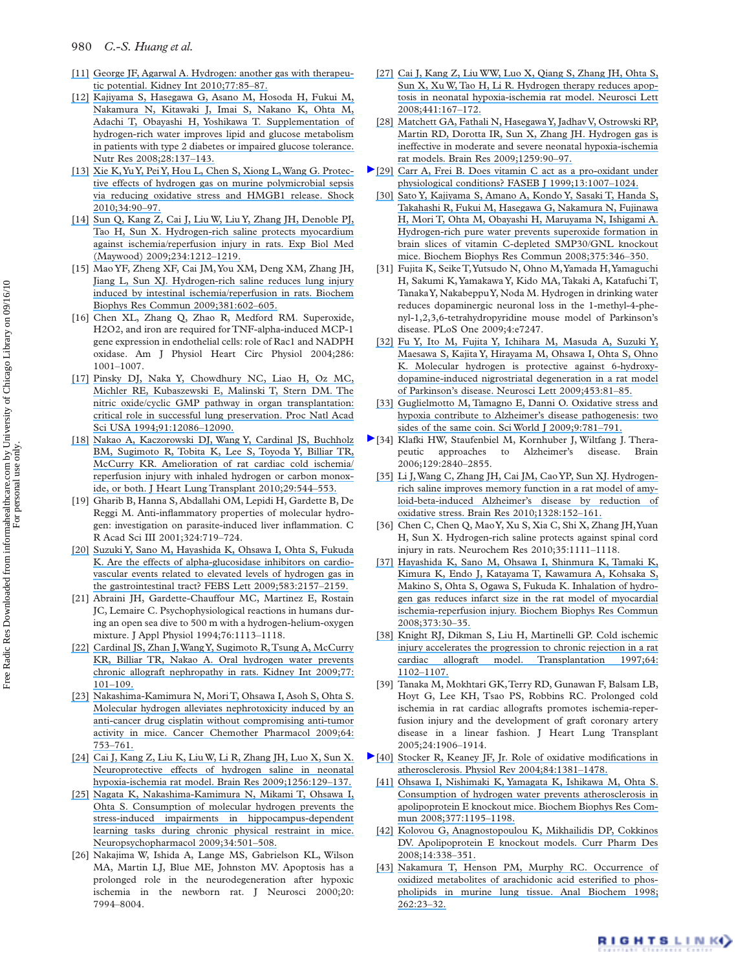- [\[11\]](https://www.researchgate.net/publication/40812674_Hydrogen_Another_gas_with_therapeutic_potential?el=1_x_8&enrichId=rgreq-af08f6df-b514-460f-b253-7f689bb4e3a8&enrichSource=Y292ZXJQYWdlOzQ2MTQ3MTI3O0FTOjk5MTY5NzcxNDU4NTc4QDE0MDA2NTUzMjYxNTc=) [George JF, Agarwal A. Hydrogen: another gas with therapeu](https://www.researchgate.net/publication/40812674_Hydrogen_Another_gas_with_therapeutic_potential?el=1_x_8&enrichId=rgreq-af08f6df-b514-460f-b253-7f689bb4e3a8&enrichSource=Y292ZXJQYWdlOzQ2MTQ3MTI3O0FTOjk5MTY5NzcxNDU4NTc4QDE0MDA2NTUzMjYxNTc=)tic potential. Kidney Int 2010;77:85-87.
- [\[12\]](https://www.researchgate.net/publication/23664206_Supplementation_of_hydrogen-rich_water_improves_lipid_and_glucose_metabolism_in_patients_with_type_2_diabetes_or_impaired_glucose_tolerance_Nutrition_Research_283_137-143?el=1_x_8&enrichId=rgreq-af08f6df-b514-460f-b253-7f689bb4e3a8&enrichSource=Y292ZXJQYWdlOzQ2MTQ3MTI3O0FTOjk5MTY5NzcxNDU4NTc4QDE0MDA2NTUzMjYxNTc=) [Kajiyama S, Hasegawa G, Asano M, Hosoda H, Fukui M,](https://www.researchgate.net/publication/23664206_Supplementation_of_hydrogen-rich_water_improves_lipid_and_glucose_metabolism_in_patients_with_type_2_diabetes_or_impaired_glucose_tolerance_Nutrition_Research_283_137-143?el=1_x_8&enrichId=rgreq-af08f6df-b514-460f-b253-7f689bb4e3a8&enrichSource=Y292ZXJQYWdlOzQ2MTQ3MTI3O0FTOjk5MTY5NzcxNDU4NTc4QDE0MDA2NTUzMjYxNTc=)  [Nakamura N, Kitawaki J, Imai S, Nakano K, Ohta M,](https://www.researchgate.net/publication/23664206_Supplementation_of_hydrogen-rich_water_improves_lipid_and_glucose_metabolism_in_patients_with_type_2_diabetes_or_impaired_glucose_tolerance_Nutrition_Research_283_137-143?el=1_x_8&enrichId=rgreq-af08f6df-b514-460f-b253-7f689bb4e3a8&enrichSource=Y292ZXJQYWdlOzQ2MTQ3MTI3O0FTOjk5MTY5NzcxNDU4NTc4QDE0MDA2NTUzMjYxNTc=)  [Adachi T, Obayashi H, Yoshikawa T. Supplementation of](https://www.researchgate.net/publication/23664206_Supplementation_of_hydrogen-rich_water_improves_lipid_and_glucose_metabolism_in_patients_with_type_2_diabetes_or_impaired_glucose_tolerance_Nutrition_Research_283_137-143?el=1_x_8&enrichId=rgreq-af08f6df-b514-460f-b253-7f689bb4e3a8&enrichSource=Y292ZXJQYWdlOzQ2MTQ3MTI3O0FTOjk5MTY5NzcxNDU4NTc4QDE0MDA2NTUzMjYxNTc=) [hydrogen-rich water improves lipid and glucose metabolism](https://www.researchgate.net/publication/23664206_Supplementation_of_hydrogen-rich_water_improves_lipid_and_glucose_metabolism_in_patients_with_type_2_diabetes_or_impaired_glucose_tolerance_Nutrition_Research_283_137-143?el=1_x_8&enrichId=rgreq-af08f6df-b514-460f-b253-7f689bb4e3a8&enrichSource=Y292ZXJQYWdlOzQ2MTQ3MTI3O0FTOjk5MTY5NzcxNDU4NTc4QDE0MDA2NTUzMjYxNTc=) [in patients with type 2 diabetes or impaired glucose tolerance.](https://www.researchgate.net/publication/23664206_Supplementation_of_hydrogen-rich_water_improves_lipid_and_glucose_metabolism_in_patients_with_type_2_diabetes_or_impaired_glucose_tolerance_Nutrition_Research_283_137-143?el=1_x_8&enrichId=rgreq-af08f6df-b514-460f-b253-7f689bb4e3a8&enrichSource=Y292ZXJQYWdlOzQ2MTQ3MTI3O0FTOjk5MTY5NzcxNDU4NTc4QDE0MDA2NTUzMjYxNTc=)  Nutr Res 2008;28:137-143.
- [\[13\]](https://www.researchgate.net/publication/40483861_Protective_effects_of_hydrogen_gas_on_murine_polymicrobial_sepsis_via_reducing_oxidative_stress_and_HMGB1_release?el=1_x_8&enrichId=rgreq-af08f6df-b514-460f-b253-7f689bb4e3a8&enrichSource=Y292ZXJQYWdlOzQ2MTQ3MTI3O0FTOjk5MTY5NzcxNDU4NTc4QDE0MDA2NTUzMjYxNTc=) [Xie K, Yu Y, Pei Y, Hou L, Chen S, Xiong L, Wang G. Protec](https://www.researchgate.net/publication/40483861_Protective_effects_of_hydrogen_gas_on_murine_polymicrobial_sepsis_via_reducing_oxidative_stress_and_HMGB1_release?el=1_x_8&enrichId=rgreq-af08f6df-b514-460f-b253-7f689bb4e3a8&enrichSource=Y292ZXJQYWdlOzQ2MTQ3MTI3O0FTOjk5MTY5NzcxNDU4NTc4QDE0MDA2NTUzMjYxNTc=)[tive effects of hydrogen gas on murine polymicrobial sepsis](https://www.researchgate.net/publication/40483861_Protective_effects_of_hydrogen_gas_on_murine_polymicrobial_sepsis_via_reducing_oxidative_stress_and_HMGB1_release?el=1_x_8&enrichId=rgreq-af08f6df-b514-460f-b253-7f689bb4e3a8&enrichSource=Y292ZXJQYWdlOzQ2MTQ3MTI3O0FTOjk5MTY5NzcxNDU4NTc4QDE0MDA2NTUzMjYxNTc=) [via reducing oxidative stress and HMGB1 release. Shock](https://www.researchgate.net/publication/40483861_Protective_effects_of_hydrogen_gas_on_murine_polymicrobial_sepsis_via_reducing_oxidative_stress_and_HMGB1_release?el=1_x_8&enrichId=rgreq-af08f6df-b514-460f-b253-7f689bb4e3a8&enrichSource=Y292ZXJQYWdlOzQ2MTQ3MTI3O0FTOjk5MTY5NzcxNDU4NTc4QDE0MDA2NTUzMjYxNTc=) [2010;34:90–97.](https://www.researchgate.net/publication/40483861_Protective_effects_of_hydrogen_gas_on_murine_polymicrobial_sepsis_via_reducing_oxidative_stress_and_HMGB1_release?el=1_x_8&enrichId=rgreq-af08f6df-b514-460f-b253-7f689bb4e3a8&enrichSource=Y292ZXJQYWdlOzQ2MTQ3MTI3O0FTOjk5MTY5NzcxNDU4NTc4QDE0MDA2NTUzMjYxNTc=)
- [\[14\]](https://www.researchgate.net/publication/216015774_Hydrogen-rich_saline_protects_myocardium_against_ischemiareperfusion_injury_in_rats?el=1_x_8&enrichId=rgreq-af08f6df-b514-460f-b253-7f689bb4e3a8&enrichSource=Y292ZXJQYWdlOzQ2MTQ3MTI3O0FTOjk5MTY5NzcxNDU4NTc4QDE0MDA2NTUzMjYxNTc=) [Sun Q, Kang Z, Cai J, Liu W, Liu Y, Zhang JH, Denoble PJ,](https://www.researchgate.net/publication/216015774_Hydrogen-rich_saline_protects_myocardium_against_ischemiareperfusion_injury_in_rats?el=1_x_8&enrichId=rgreq-af08f6df-b514-460f-b253-7f689bb4e3a8&enrichSource=Y292ZXJQYWdlOzQ2MTQ3MTI3O0FTOjk5MTY5NzcxNDU4NTc4QDE0MDA2NTUzMjYxNTc=)  [Tao H, Sun X. Hydrogen-rich saline protects myocardium](https://www.researchgate.net/publication/216015774_Hydrogen-rich_saline_protects_myocardium_against_ischemiareperfusion_injury_in_rats?el=1_x_8&enrichId=rgreq-af08f6df-b514-460f-b253-7f689bb4e3a8&enrichSource=Y292ZXJQYWdlOzQ2MTQ3MTI3O0FTOjk5MTY5NzcxNDU4NTc4QDE0MDA2NTUzMjYxNTc=) [against ischemia/reperfusion injury in rats. Exp Biol Med](https://www.researchgate.net/publication/216015774_Hydrogen-rich_saline_protects_myocardium_against_ischemiareperfusion_injury_in_rats?el=1_x_8&enrichId=rgreq-af08f6df-b514-460f-b253-7f689bb4e3a8&enrichSource=Y292ZXJQYWdlOzQ2MTQ3MTI3O0FTOjk5MTY5NzcxNDU4NTc4QDE0MDA2NTUzMjYxNTc=) (Maywood) 2009;234:1212-1219.
- [15] Mao YF, Zheng XF, Cai JM, You XM, Deng XM, Zhang JH, [Jiang L, Sun XJ. Hydrogen-rich saline reduces lung injury](https://www.researchgate.net/publication/216015652_Hydrogen-rich_saline_reduces_lung_injury_induced_by_intestinal_ischemiareperfusion_in_rats?el=1_x_8&enrichId=rgreq-af08f6df-b514-460f-b253-7f689bb4e3a8&enrichSource=Y292ZXJQYWdlOzQ2MTQ3MTI3O0FTOjk5MTY5NzcxNDU4NTc4QDE0MDA2NTUzMjYxNTc=) [induced by intestinal ischemia/reperfusion in rats. Biochem](https://www.researchgate.net/publication/216015652_Hydrogen-rich_saline_reduces_lung_injury_induced_by_intestinal_ischemiareperfusion_in_rats?el=1_x_8&enrichId=rgreq-af08f6df-b514-460f-b253-7f689bb4e3a8&enrichSource=Y292ZXJQYWdlOzQ2MTQ3MTI3O0FTOjk5MTY5NzcxNDU4NTc4QDE0MDA2NTUzMjYxNTc=) Biophys Res Commun 2009;381:602-605.
- [16] Chen XL, Zhang Q, Zhao R, Medford RM. Superoxide, H2O2, and iron are required for TNF-alpha-induced MCP-1 gene expression in endothelial cells: role of Rac1 and NADPH oxidase. Am J Physiol Heart Circ Physiol 2004;286: 1001-1007.
- [\[17\]](https://www.researchgate.net/publication/15670660_Pinsky_DJ_et_al_The_nitric_oxidecyclic_GMP_pathway_in_organ_transplantation_critical_role_in_successful_lung_preservation_Proc_Natl_Acad_Sci_USA_91_12086-12090?el=1_x_8&enrichId=rgreq-af08f6df-b514-460f-b253-7f689bb4e3a8&enrichSource=Y292ZXJQYWdlOzQ2MTQ3MTI3O0FTOjk5MTY5NzcxNDU4NTc4QDE0MDA2NTUzMjYxNTc=) [Pinsky DJ, Naka Y, Chowdhury NC, Liao H, Oz MC,](https://www.researchgate.net/publication/15670660_Pinsky_DJ_et_al_The_nitric_oxidecyclic_GMP_pathway_in_organ_transplantation_critical_role_in_successful_lung_preservation_Proc_Natl_Acad_Sci_USA_91_12086-12090?el=1_x_8&enrichId=rgreq-af08f6df-b514-460f-b253-7f689bb4e3a8&enrichSource=Y292ZXJQYWdlOzQ2MTQ3MTI3O0FTOjk5MTY5NzcxNDU4NTc4QDE0MDA2NTUzMjYxNTc=)  [Michler RE, Kubaszewski E, Malinski T, Stern DM. The](https://www.researchgate.net/publication/15670660_Pinsky_DJ_et_al_The_nitric_oxidecyclic_GMP_pathway_in_organ_transplantation_critical_role_in_successful_lung_preservation_Proc_Natl_Acad_Sci_USA_91_12086-12090?el=1_x_8&enrichId=rgreq-af08f6df-b514-460f-b253-7f689bb4e3a8&enrichSource=Y292ZXJQYWdlOzQ2MTQ3MTI3O0FTOjk5MTY5NzcxNDU4NTc4QDE0MDA2NTUzMjYxNTc=) [nitric oxide/cyclic GMP pathway in organ transplantation:](https://www.researchgate.net/publication/15670660_Pinsky_DJ_et_al_The_nitric_oxidecyclic_GMP_pathway_in_organ_transplantation_critical_role_in_successful_lung_preservation_Proc_Natl_Acad_Sci_USA_91_12086-12090?el=1_x_8&enrichId=rgreq-af08f6df-b514-460f-b253-7f689bb4e3a8&enrichSource=Y292ZXJQYWdlOzQ2MTQ3MTI3O0FTOjk5MTY5NzcxNDU4NTc4QDE0MDA2NTUzMjYxNTc=)  [critical role in successful lung preservation. Proc Natl Acad](https://www.researchgate.net/publication/15670660_Pinsky_DJ_et_al_The_nitric_oxidecyclic_GMP_pathway_in_organ_transplantation_critical_role_in_successful_lung_preservation_Proc_Natl_Acad_Sci_USA_91_12086-12090?el=1_x_8&enrichId=rgreq-af08f6df-b514-460f-b253-7f689bb4e3a8&enrichSource=Y292ZXJQYWdlOzQ2MTQ3MTI3O0FTOjk5MTY5NzcxNDU4NTc4QDE0MDA2NTUzMjYxNTc=) Sci USA 1994;91:12086-12090.
- [\[18\]](https://www.researchgate.net/publication/40784916_Amelioration_of_rat_cardiac_cold_ischemiareperfusion_injury_with_inhaled_hydrogen_or_carbon_monoxide_or_both?el=1_x_8&enrichId=rgreq-af08f6df-b514-460f-b253-7f689bb4e3a8&enrichSource=Y292ZXJQYWdlOzQ2MTQ3MTI3O0FTOjk5MTY5NzcxNDU4NTc4QDE0MDA2NTUzMjYxNTc=) [Nakao A, Kaczorowski DJ, Wang Y, Cardinal JS, Buchholz](https://www.researchgate.net/publication/40784916_Amelioration_of_rat_cardiac_cold_ischemiareperfusion_injury_with_inhaled_hydrogen_or_carbon_monoxide_or_both?el=1_x_8&enrichId=rgreq-af08f6df-b514-460f-b253-7f689bb4e3a8&enrichSource=Y292ZXJQYWdlOzQ2MTQ3MTI3O0FTOjk5MTY5NzcxNDU4NTc4QDE0MDA2NTUzMjYxNTc=) [BM, Sugimoto R, Tobita K, Lee S, Toyoda Y, Billiar TR,](https://www.researchgate.net/publication/40784916_Amelioration_of_rat_cardiac_cold_ischemiareperfusion_injury_with_inhaled_hydrogen_or_carbon_monoxide_or_both?el=1_x_8&enrichId=rgreq-af08f6df-b514-460f-b253-7f689bb4e3a8&enrichSource=Y292ZXJQYWdlOzQ2MTQ3MTI3O0FTOjk5MTY5NzcxNDU4NTc4QDE0MDA2NTUzMjYxNTc=)  [McCurry KR. Amelioration of rat cardiac cold ischemia/](https://www.researchgate.net/publication/40784916_Amelioration_of_rat_cardiac_cold_ischemiareperfusion_injury_with_inhaled_hydrogen_or_carbon_monoxide_or_both?el=1_x_8&enrichId=rgreq-af08f6df-b514-460f-b253-7f689bb4e3a8&enrichSource=Y292ZXJQYWdlOzQ2MTQ3MTI3O0FTOjk5MTY5NzcxNDU4NTc4QDE0MDA2NTUzMjYxNTc=) [reperfusion injury with inhaled hydrogen or carbon monox](https://www.researchgate.net/publication/40784916_Amelioration_of_rat_cardiac_cold_ischemiareperfusion_injury_with_inhaled_hydrogen_or_carbon_monoxide_or_both?el=1_x_8&enrichId=rgreq-af08f6df-b514-460f-b253-7f689bb4e3a8&enrichSource=Y292ZXJQYWdlOzQ2MTQ3MTI3O0FTOjk5MTY5NzcxNDU4NTc4QDE0MDA2NTUzMjYxNTc=)[ide, or both. J Heart Lung Transplant 2010;29:544–553.](https://www.researchgate.net/publication/40784916_Amelioration_of_rat_cardiac_cold_ischemiareperfusion_injury_with_inhaled_hydrogen_or_carbon_monoxide_or_both?el=1_x_8&enrichId=rgreq-af08f6df-b514-460f-b253-7f689bb4e3a8&enrichSource=Y292ZXJQYWdlOzQ2MTQ3MTI3O0FTOjk5MTY5NzcxNDU4NTc4QDE0MDA2NTUzMjYxNTc=)
- [19] Gharib B, Hanna S, Abdallahi OM, Lepidi H, Gardette B, De Reggi M. Anti-inflammatory properties of molecular hydrogen: investigation on parasite-induced liver inflammation. C R Acad Sci III 2001;324:719-724.
- [\[20\]](https://www.researchgate.net/publication/26275190_Are_the_effects_of_a-glucosidase_inhibitors_on_cardiovascular_events_related_to_elevated_levels_of_hydrogen_gas_in_the_gastrointestinal_tract?el=1_x_8&enrichId=rgreq-af08f6df-b514-460f-b253-7f689bb4e3a8&enrichSource=Y292ZXJQYWdlOzQ2MTQ3MTI3O0FTOjk5MTY5NzcxNDU4NTc4QDE0MDA2NTUzMjYxNTc=) [Suzuki Y, Sano M, Hayashida K, Ohsawa I, Ohta S, Fukuda](https://www.researchgate.net/publication/26275190_Are_the_effects_of_a-glucosidase_inhibitors_on_cardiovascular_events_related_to_elevated_levels_of_hydrogen_gas_in_the_gastrointestinal_tract?el=1_x_8&enrichId=rgreq-af08f6df-b514-460f-b253-7f689bb4e3a8&enrichSource=Y292ZXJQYWdlOzQ2MTQ3MTI3O0FTOjk5MTY5NzcxNDU4NTc4QDE0MDA2NTUzMjYxNTc=) [K. Are the effects of alpha-glucosidase inhibitors on cardio](https://www.researchgate.net/publication/26275190_Are_the_effects_of_a-glucosidase_inhibitors_on_cardiovascular_events_related_to_elevated_levels_of_hydrogen_gas_in_the_gastrointestinal_tract?el=1_x_8&enrichId=rgreq-af08f6df-b514-460f-b253-7f689bb4e3a8&enrichSource=Y292ZXJQYWdlOzQ2MTQ3MTI3O0FTOjk5MTY5NzcxNDU4NTc4QDE0MDA2NTUzMjYxNTc=)[vascular events related to elevated levels of hydrogen gas in](https://www.researchgate.net/publication/26275190_Are_the_effects_of_a-glucosidase_inhibitors_on_cardiovascular_events_related_to_elevated_levels_of_hydrogen_gas_in_the_gastrointestinal_tract?el=1_x_8&enrichId=rgreq-af08f6df-b514-460f-b253-7f689bb4e3a8&enrichSource=Y292ZXJQYWdlOzQ2MTQ3MTI3O0FTOjk5MTY5NzcxNDU4NTc4QDE0MDA2NTUzMjYxNTc=) the gastrointestinal tract? FEBS Lett 2009;583:2157-2159.
- [21] Abraini JH, Gardette-Chauffour MC, Martinez E, Rostain JC, Lemaire C. Psychophysiological reactions in humans during an open sea dive to 500 m with a hydrogen-helium-oxygen mixture. J Appl Physiol 1994;76:1113-1118.
- [\[22\]](https://www.researchgate.net/publication/228771552_Oral_administration_of_hydrogen_water_prevents_chronic_allograft_nephropathy_in_rat_renal_transplantation?el=1_x_8&enrichId=rgreq-af08f6df-b514-460f-b253-7f689bb4e3a8&enrichSource=Y292ZXJQYWdlOzQ2MTQ3MTI3O0FTOjk5MTY5NzcxNDU4NTc4QDE0MDA2NTUzMjYxNTc=) [Cardinal JS, Zhan J, Wang Y, Sugimoto R, Tsung A, McCurry](https://www.researchgate.net/publication/228771552_Oral_administration_of_hydrogen_water_prevents_chronic_allograft_nephropathy_in_rat_renal_transplantation?el=1_x_8&enrichId=rgreq-af08f6df-b514-460f-b253-7f689bb4e3a8&enrichSource=Y292ZXJQYWdlOzQ2MTQ3MTI3O0FTOjk5MTY5NzcxNDU4NTc4QDE0MDA2NTUzMjYxNTc=) [KR, Billiar TR, Nakao A. Oral hydrogen water prevents](https://www.researchgate.net/publication/228771552_Oral_administration_of_hydrogen_water_prevents_chronic_allograft_nephropathy_in_rat_renal_transplantation?el=1_x_8&enrichId=rgreq-af08f6df-b514-460f-b253-7f689bb4e3a8&enrichSource=Y292ZXJQYWdlOzQ2MTQ3MTI3O0FTOjk5MTY5NzcxNDU4NTc4QDE0MDA2NTUzMjYxNTc=) [chronic allograft nephropathy in rats. Kidney Int 2009;77:](https://www.researchgate.net/publication/228771552_Oral_administration_of_hydrogen_water_prevents_chronic_allograft_nephropathy_in_rat_renal_transplantation?el=1_x_8&enrichId=rgreq-af08f6df-b514-460f-b253-7f689bb4e3a8&enrichSource=Y292ZXJQYWdlOzQ2MTQ3MTI3O0FTOjk5MTY5NzcxNDU4NTc4QDE0MDA2NTUzMjYxNTc=)  $101 - 109.$
- [\[23\]](https://www.researchgate.net/publication/23792535_Molecular_hydrogen_alleviates_nephrotoxicity_induced_by_anti-cancer_drug_cisplatin_without_compromising_anti-tumor_activity_in_mice?el=1_x_8&enrichId=rgreq-af08f6df-b514-460f-b253-7f689bb4e3a8&enrichSource=Y292ZXJQYWdlOzQ2MTQ3MTI3O0FTOjk5MTY5NzcxNDU4NTc4QDE0MDA2NTUzMjYxNTc=) [Nakashima-Kamimura N, Mori T, Ohsawa I, Asoh S, Ohta S.](https://www.researchgate.net/publication/23792535_Molecular_hydrogen_alleviates_nephrotoxicity_induced_by_anti-cancer_drug_cisplatin_without_compromising_anti-tumor_activity_in_mice?el=1_x_8&enrichId=rgreq-af08f6df-b514-460f-b253-7f689bb4e3a8&enrichSource=Y292ZXJQYWdlOzQ2MTQ3MTI3O0FTOjk5MTY5NzcxNDU4NTc4QDE0MDA2NTUzMjYxNTc=)  [Molecular hydrogen alleviates nephrotoxicity induced by an](https://www.researchgate.net/publication/23792535_Molecular_hydrogen_alleviates_nephrotoxicity_induced_by_anti-cancer_drug_cisplatin_without_compromising_anti-tumor_activity_in_mice?el=1_x_8&enrichId=rgreq-af08f6df-b514-460f-b253-7f689bb4e3a8&enrichSource=Y292ZXJQYWdlOzQ2MTQ3MTI3O0FTOjk5MTY5NzcxNDU4NTc4QDE0MDA2NTUzMjYxNTc=) [anti-cancer drug cisplatin without compromising anti-tumor](https://www.researchgate.net/publication/23792535_Molecular_hydrogen_alleviates_nephrotoxicity_induced_by_anti-cancer_drug_cisplatin_without_compromising_anti-tumor_activity_in_mice?el=1_x_8&enrichId=rgreq-af08f6df-b514-460f-b253-7f689bb4e3a8&enrichSource=Y292ZXJQYWdlOzQ2MTQ3MTI3O0FTOjk5MTY5NzcxNDU4NTc4QDE0MDA2NTUzMjYxNTc=) [activity in mice. Cancer Chemother Pharmacol 2009;64:](https://www.researchgate.net/publication/23792535_Molecular_hydrogen_alleviates_nephrotoxicity_induced_by_anti-cancer_drug_cisplatin_without_compromising_anti-tumor_activity_in_mice?el=1_x_8&enrichId=rgreq-af08f6df-b514-460f-b253-7f689bb4e3a8&enrichSource=Y292ZXJQYWdlOzQ2MTQ3MTI3O0FTOjk5MTY5NzcxNDU4NTc4QDE0MDA2NTUzMjYxNTc=) [753 – 761.](https://www.researchgate.net/publication/23792535_Molecular_hydrogen_alleviates_nephrotoxicity_induced_by_anti-cancer_drug_cisplatin_without_compromising_anti-tumor_activity_in_mice?el=1_x_8&enrichId=rgreq-af08f6df-b514-460f-b253-7f689bb4e3a8&enrichSource=Y292ZXJQYWdlOzQ2MTQ3MTI3O0FTOjk5MTY5NzcxNDU4NTc4QDE0MDA2NTUzMjYxNTc=)
- [\[24\]](https://www.researchgate.net/publication/23639265_Neuroprotective_Effects_of_Hydrogen_Saline_in_Neonatal_Hypoxia-ischemia_Rat_Model?el=1_x_8&enrichId=rgreq-af08f6df-b514-460f-b253-7f689bb4e3a8&enrichSource=Y292ZXJQYWdlOzQ2MTQ3MTI3O0FTOjk5MTY5NzcxNDU4NTc4QDE0MDA2NTUzMjYxNTc=) [Cai J, Kang Z, Liu K, Liu W, Li R, Zhang JH, Luo X, Sun X.](https://www.researchgate.net/publication/23639265_Neuroprotective_Effects_of_Hydrogen_Saline_in_Neonatal_Hypoxia-ischemia_Rat_Model?el=1_x_8&enrichId=rgreq-af08f6df-b514-460f-b253-7f689bb4e3a8&enrichSource=Y292ZXJQYWdlOzQ2MTQ3MTI3O0FTOjk5MTY5NzcxNDU4NTc4QDE0MDA2NTUzMjYxNTc=)  [Neuroprotective effects of hydrogen saline in neonatal](https://www.researchgate.net/publication/23639265_Neuroprotective_Effects_of_Hydrogen_Saline_in_Neonatal_Hypoxia-ischemia_Rat_Model?el=1_x_8&enrichId=rgreq-af08f6df-b514-460f-b253-7f689bb4e3a8&enrichSource=Y292ZXJQYWdlOzQ2MTQ3MTI3O0FTOjk5MTY5NzcxNDU4NTc4QDE0MDA2NTUzMjYxNTc=) hypoxia-ischemia rat model. Brain Res 2009;1256:129-137.
- [\[25\]](https://www.researchgate.net/publication/5293761_Consumption_of_Molecular_Hydrogen_Prevents_the_Stress-Induced_Impairments_in_Hippocampus-Dependent_Learning_Tasks_during_Chronic_Physical_Restraint_in_Mice?el=1_x_8&enrichId=rgreq-af08f6df-b514-460f-b253-7f689bb4e3a8&enrichSource=Y292ZXJQYWdlOzQ2MTQ3MTI3O0FTOjk5MTY5NzcxNDU4NTc4QDE0MDA2NTUzMjYxNTc=) [Nagata K, Nakashima-Kamimura N, Mikami T, Ohsawa I,](https://www.researchgate.net/publication/5293761_Consumption_of_Molecular_Hydrogen_Prevents_the_Stress-Induced_Impairments_in_Hippocampus-Dependent_Learning_Tasks_during_Chronic_Physical_Restraint_in_Mice?el=1_x_8&enrichId=rgreq-af08f6df-b514-460f-b253-7f689bb4e3a8&enrichSource=Y292ZXJQYWdlOzQ2MTQ3MTI3O0FTOjk5MTY5NzcxNDU4NTc4QDE0MDA2NTUzMjYxNTc=)  [Ohta S. Consumption of molecular hydrogen prevents the](https://www.researchgate.net/publication/5293761_Consumption_of_Molecular_Hydrogen_Prevents_the_Stress-Induced_Impairments_in_Hippocampus-Dependent_Learning_Tasks_during_Chronic_Physical_Restraint_in_Mice?el=1_x_8&enrichId=rgreq-af08f6df-b514-460f-b253-7f689bb4e3a8&enrichSource=Y292ZXJQYWdlOzQ2MTQ3MTI3O0FTOjk5MTY5NzcxNDU4NTc4QDE0MDA2NTUzMjYxNTc=) [stress-induced impairments in hippocampus-dependent](https://www.researchgate.net/publication/5293761_Consumption_of_Molecular_Hydrogen_Prevents_the_Stress-Induced_Impairments_in_Hippocampus-Dependent_Learning_Tasks_during_Chronic_Physical_Restraint_in_Mice?el=1_x_8&enrichId=rgreq-af08f6df-b514-460f-b253-7f689bb4e3a8&enrichSource=Y292ZXJQYWdlOzQ2MTQ3MTI3O0FTOjk5MTY5NzcxNDU4NTc4QDE0MDA2NTUzMjYxNTc=) [learning tasks during chronic physical restraint in mice.](https://www.researchgate.net/publication/5293761_Consumption_of_Molecular_Hydrogen_Prevents_the_Stress-Induced_Impairments_in_Hippocampus-Dependent_Learning_Tasks_during_Chronic_Physical_Restraint_in_Mice?el=1_x_8&enrichId=rgreq-af08f6df-b514-460f-b253-7f689bb4e3a8&enrichSource=Y292ZXJQYWdlOzQ2MTQ3MTI3O0FTOjk5MTY5NzcxNDU4NTc4QDE0MDA2NTUzMjYxNTc=)  Neuropsychopharmacol 2009;34:501-508.
- [26] Nakajima W, Ishida A, Lange MS, Gabrielson KL, Wilson MA, Martin LJ, Blue ME, Johnston MV. Apoptosis has a prolonged role in the neurodegeneration after hypoxic ischemia in the newborn rat. J Neurosci 2000;20: 7994 – 8004.
- [\[27\]](https://www.researchgate.net/publication/216015624_Hydrogen_therapy_reduces_apoptosis_in_neonatal_hypoxia-ischemia_rat_model?el=1_x_8&enrichId=rgreq-af08f6df-b514-460f-b253-7f689bb4e3a8&enrichSource=Y292ZXJQYWdlOzQ2MTQ3MTI3O0FTOjk5MTY5NzcxNDU4NTc4QDE0MDA2NTUzMjYxNTc=) [Cai J, Kang Z, Liu WW, Luo X, Qiang S, Zhang JH, Ohta S,](https://www.researchgate.net/publication/216015624_Hydrogen_therapy_reduces_apoptosis_in_neonatal_hypoxia-ischemia_rat_model?el=1_x_8&enrichId=rgreq-af08f6df-b514-460f-b253-7f689bb4e3a8&enrichSource=Y292ZXJQYWdlOzQ2MTQ3MTI3O0FTOjk5MTY5NzcxNDU4NTc4QDE0MDA2NTUzMjYxNTc=)  [Sun X, Xu W, Tao H, Li R. Hydrogen therapy reduces apop](https://www.researchgate.net/publication/216015624_Hydrogen_therapy_reduces_apoptosis_in_neonatal_hypoxia-ischemia_rat_model?el=1_x_8&enrichId=rgreq-af08f6df-b514-460f-b253-7f689bb4e3a8&enrichSource=Y292ZXJQYWdlOzQ2MTQ3MTI3O0FTOjk5MTY5NzcxNDU4NTc4QDE0MDA2NTUzMjYxNTc=)[tosis in neonatal hypoxia-ischemia rat model. Neurosci Lett](https://www.researchgate.net/publication/216015624_Hydrogen_therapy_reduces_apoptosis_in_neonatal_hypoxia-ischemia_rat_model?el=1_x_8&enrichId=rgreq-af08f6df-b514-460f-b253-7f689bb4e3a8&enrichSource=Y292ZXJQYWdlOzQ2MTQ3MTI3O0FTOjk5MTY5NzcxNDU4NTc4QDE0MDA2NTUzMjYxNTc=)  $2008:441:167 - 172.$
- [\[28\]](https://www.researchgate.net/publication/23938350_Hydrogen_gas_is_ineffective_in_moderate_and_severe_neonatal_hypoxia-ischemia_rat_models?el=1_x_8&enrichId=rgreq-af08f6df-b514-460f-b253-7f689bb4e3a8&enrichSource=Y292ZXJQYWdlOzQ2MTQ3MTI3O0FTOjk5MTY5NzcxNDU4NTc4QDE0MDA2NTUzMjYxNTc=) [Matchett GA, Fathali N, Hasegawa Y, Jadhav V, Ostrowski RP,](https://www.researchgate.net/publication/23938350_Hydrogen_gas_is_ineffective_in_moderate_and_severe_neonatal_hypoxia-ischemia_rat_models?el=1_x_8&enrichId=rgreq-af08f6df-b514-460f-b253-7f689bb4e3a8&enrichSource=Y292ZXJQYWdlOzQ2MTQ3MTI3O0FTOjk5MTY5NzcxNDU4NTc4QDE0MDA2NTUzMjYxNTc=)  [Martin RD, Dorotta IR, Sun X, Zhang JH. Hydrogen gas is](https://www.researchgate.net/publication/23938350_Hydrogen_gas_is_ineffective_in_moderate_and_severe_neonatal_hypoxia-ischemia_rat_models?el=1_x_8&enrichId=rgreq-af08f6df-b514-460f-b253-7f689bb4e3a8&enrichSource=Y292ZXJQYWdlOzQ2MTQ3MTI3O0FTOjk5MTY5NzcxNDU4NTc4QDE0MDA2NTUzMjYxNTc=) [ineffective in moderate and severe neonatal hypoxia-ischemia](https://www.researchgate.net/publication/23938350_Hydrogen_gas_is_ineffective_in_moderate_and_severe_neonatal_hypoxia-ischemia_rat_models?el=1_x_8&enrichId=rgreq-af08f6df-b514-460f-b253-7f689bb4e3a8&enrichSource=Y292ZXJQYWdlOzQ2MTQ3MTI3O0FTOjk5MTY5NzcxNDU4NTc4QDE0MDA2NTUzMjYxNTc=) rat models. Brain Res 2009;1259:90-97.
- [\[29\]](https://www.researchgate.net/publication/12961700_Does_vitamin_C_act_as_pro-oxidant_under_physiological_conditions_FASEB_J?el=1_x_8&enrichId=rgreq-af08f6df-b514-460f-b253-7f689bb4e3a8&enrichSource=Y292ZXJQYWdlOzQ2MTQ3MTI3O0FTOjk5MTY5NzcxNDU4NTc4QDE0MDA2NTUzMjYxNTc=) [Carr A, Frei B. Does vitamin C act as a pro-oxidant under](https://www.researchgate.net/publication/12961700_Does_vitamin_C_act_as_pro-oxidant_under_physiological_conditions_FASEB_J?el=1_x_8&enrichId=rgreq-af08f6df-b514-460f-b253-7f689bb4e3a8&enrichSource=Y292ZXJQYWdlOzQ2MTQ3MTI3O0FTOjk5MTY5NzcxNDU4NTc4QDE0MDA2NTUzMjYxNTc=) physiological conditions? FASEB J 1999;13:1007-1024.
	- [\[30\]](https://www.researchgate.net/publication/23174439_Hydrogen-rich_pure_water_prevents_superoxide_formation_in_brain_slices_of_vitamin_C-depleted_SMP30GNL_knockout_mice_Biochem_Biophys?el=1_x_8&enrichId=rgreq-af08f6df-b514-460f-b253-7f689bb4e3a8&enrichSource=Y292ZXJQYWdlOzQ2MTQ3MTI3O0FTOjk5MTY5NzcxNDU4NTc4QDE0MDA2NTUzMjYxNTc=) [Sato Y, Kajiyama S, Amano A, Kondo Y, Sasaki T, Handa S,](https://www.researchgate.net/publication/23174439_Hydrogen-rich_pure_water_prevents_superoxide_formation_in_brain_slices_of_vitamin_C-depleted_SMP30GNL_knockout_mice_Biochem_Biophys?el=1_x_8&enrichId=rgreq-af08f6df-b514-460f-b253-7f689bb4e3a8&enrichSource=Y292ZXJQYWdlOzQ2MTQ3MTI3O0FTOjk5MTY5NzcxNDU4NTc4QDE0MDA2NTUzMjYxNTc=)  [Takahashi R, Fukui M, Hasegawa G, Nakamura N, Fujinawa](https://www.researchgate.net/publication/23174439_Hydrogen-rich_pure_water_prevents_superoxide_formation_in_brain_slices_of_vitamin_C-depleted_SMP30GNL_knockout_mice_Biochem_Biophys?el=1_x_8&enrichId=rgreq-af08f6df-b514-460f-b253-7f689bb4e3a8&enrichSource=Y292ZXJQYWdlOzQ2MTQ3MTI3O0FTOjk5MTY5NzcxNDU4NTc4QDE0MDA2NTUzMjYxNTc=) [H, Mori T, Ohta M, Obayashi H, Maruyama N, Ishigami A.](https://www.researchgate.net/publication/23174439_Hydrogen-rich_pure_water_prevents_superoxide_formation_in_brain_slices_of_vitamin_C-depleted_SMP30GNL_knockout_mice_Biochem_Biophys?el=1_x_8&enrichId=rgreq-af08f6df-b514-460f-b253-7f689bb4e3a8&enrichSource=Y292ZXJQYWdlOzQ2MTQ3MTI3O0FTOjk5MTY5NzcxNDU4NTc4QDE0MDA2NTUzMjYxNTc=)  [Hydrogen-rich pure water prevents superoxide formation in](https://www.researchgate.net/publication/23174439_Hydrogen-rich_pure_water_prevents_superoxide_formation_in_brain_slices_of_vitamin_C-depleted_SMP30GNL_knockout_mice_Biochem_Biophys?el=1_x_8&enrichId=rgreq-af08f6df-b514-460f-b253-7f689bb4e3a8&enrichSource=Y292ZXJQYWdlOzQ2MTQ3MTI3O0FTOjk5MTY5NzcxNDU4NTc4QDE0MDA2NTUzMjYxNTc=) [brain slices of vitamin C-depleted SMP30/GNL knockout](https://www.researchgate.net/publication/23174439_Hydrogen-rich_pure_water_prevents_superoxide_formation_in_brain_slices_of_vitamin_C-depleted_SMP30GNL_knockout_mice_Biochem_Biophys?el=1_x_8&enrichId=rgreq-af08f6df-b514-460f-b253-7f689bb4e3a8&enrichSource=Y292ZXJQYWdlOzQ2MTQ3MTI3O0FTOjk5MTY5NzcxNDU4NTc4QDE0MDA2NTUzMjYxNTc=) mice. Biochem Biophys Res Commun 2008;375:346-350.
	- [31] Fujita K, Seike T, Yutsudo N, Ohno M, Yamada H, Yamaguchi H, Sakumi K, Yamakawa Y, Kido MA, Takaki A, Katafuchi T, Tanaka Y, Nakabeppu Y, Noda M. Hydrogen in drinking water reduces dopaminergic neuronal loss in the 1-methyl-4-phenyl-1,2,3,6-tetrahydropyridine mouse model of Parkinson's disease. PLoS One 2009;4:e7247.
	- [\[32\]](https://www.researchgate.net/publication/24266776_Molecular_hydrogen_is_protective_against_6-hydroxydopamine-induced_nigrostriatal_degeneration_in_a_rat_model_of_Parkinson) [Fu Y, Ito M, Fujita Y, Ichihara M, Masuda A, Suzuki Y,](https://www.researchgate.net/publication/24266776_Molecular_hydrogen_is_protective_against_6-hydroxydopamine-induced_nigrostriatal_degeneration_in_a_rat_model_of_Parkinson)  [Maesawa S, Kajita Y, Hirayama M, Ohsawa I, Ohta S, Ohno](https://www.researchgate.net/publication/24266776_Molecular_hydrogen_is_protective_against_6-hydroxydopamine-induced_nigrostriatal_degeneration_in_a_rat_model_of_Parkinson) Molecular hydrogen is protective against 6-hydroxy[dopamine-induced nigrostriatal degeneration in a rat model](https://www.researchgate.net/publication/24266776_Molecular_hydrogen_is_protective_against_6-hydroxydopamine-induced_nigrostriatal_degeneration_in_a_rat_model_of_Parkinson) of Parkinson's disease. Neurosci Lett 2009;453:81-85.
	- [\[33\]](https://www.researchgate.net/publication/26765151_Oxidative_Stress_and_Hypoxia_Contribute_to_Alzheimer) [Guglielmotto M, Tamagno E, Danni O. Oxidative stress and](https://www.researchgate.net/publication/26765151_Oxidative_Stress_and_Hypoxia_Contribute_to_Alzheimer) [hypoxia contribute to Alzheimer's disease pathogenesis: two](https://www.researchgate.net/publication/26765151_Oxidative_Stress_and_Hypoxia_Contribute_to_Alzheimer) sides of the same coin. Sci World J 2009;9:781-791.
- [34] Klafki HW, Staufenbiel M, Kornhuber J, Wiltfang J. Therapeutic approaches to Alzheimer's disease. Brain 2006;129:2840-2855.
	- [\[35\]](https://www.researchgate.net/publication/41508714_Hydrogen-rich_saline_improves_memory_function_in_a_rat_model_of_amyloid-beta-induced_Alzheimer) [Li J, Wang C, Zhang JH, Cai JM, Cao YP, Sun XJ. Hydrogen](https://www.researchgate.net/publication/41508714_Hydrogen-rich_saline_improves_memory_function_in_a_rat_model_of_amyloid-beta-induced_Alzheimer)[rich saline improves memory function in a rat model of amy](https://www.researchgate.net/publication/41508714_Hydrogen-rich_saline_improves_memory_function_in_a_rat_model_of_amyloid-beta-induced_Alzheimer)[loid-beta-induced Alzheimer's disease by reduction of](https://www.researchgate.net/publication/41508714_Hydrogen-rich_saline_improves_memory_function_in_a_rat_model_of_amyloid-beta-induced_Alzheimer) [oxidative stress. Brain Res 2010;1328:152–161.](https://www.researchgate.net/publication/41508714_Hydrogen-rich_saline_improves_memory_function_in_a_rat_model_of_amyloid-beta-induced_Alzheimer)
	- [36] Chen C, Chen Q, Mao Y, Xu S, Xia C, Shi X, Zhang JH, Yuan H, Sun X. Hydrogen-rich saline protects against spinal cord injury in rats. Neurochem Res 2010; 35:1111–1118.
	- [\[37\]](https://www.researchgate.net/publication/5314522_Inhalation_of_hydrogen_gas_reduces_infarct_size_in_the_rat_model_of_myocardial_ischemia-reperfusion_injury_Biochem_Biophys_Res_Commun?el=1_x_8&enrichId=rgreq-af08f6df-b514-460f-b253-7f689bb4e3a8&enrichSource=Y292ZXJQYWdlOzQ2MTQ3MTI3O0FTOjk5MTY5NzcxNDU4NTc4QDE0MDA2NTUzMjYxNTc=) [Hayashida K, Sano M, Ohsawa I, Shinmura K, Tamaki K,](https://www.researchgate.net/publication/5314522_Inhalation_of_hydrogen_gas_reduces_infarct_size_in_the_rat_model_of_myocardial_ischemia-reperfusion_injury_Biochem_Biophys_Res_Commun?el=1_x_8&enrichId=rgreq-af08f6df-b514-460f-b253-7f689bb4e3a8&enrichSource=Y292ZXJQYWdlOzQ2MTQ3MTI3O0FTOjk5MTY5NzcxNDU4NTc4QDE0MDA2NTUzMjYxNTc=)  [Kimura K, Endo J, Katayama T, Kawamura A, Kohsaka S,](https://www.researchgate.net/publication/5314522_Inhalation_of_hydrogen_gas_reduces_infarct_size_in_the_rat_model_of_myocardial_ischemia-reperfusion_injury_Biochem_Biophys_Res_Commun?el=1_x_8&enrichId=rgreq-af08f6df-b514-460f-b253-7f689bb4e3a8&enrichSource=Y292ZXJQYWdlOzQ2MTQ3MTI3O0FTOjk5MTY5NzcxNDU4NTc4QDE0MDA2NTUzMjYxNTc=)  [Makino S, Ohta S, Ogawa S, Fukuda K. Inhalation of hydro](https://www.researchgate.net/publication/5314522_Inhalation_of_hydrogen_gas_reduces_infarct_size_in_the_rat_model_of_myocardial_ischemia-reperfusion_injury_Biochem_Biophys_Res_Commun?el=1_x_8&enrichId=rgreq-af08f6df-b514-460f-b253-7f689bb4e3a8&enrichSource=Y292ZXJQYWdlOzQ2MTQ3MTI3O0FTOjk5MTY5NzcxNDU4NTc4QDE0MDA2NTUzMjYxNTc=)[gen gas reduces infarct size in the rat model of myocardial](https://www.researchgate.net/publication/5314522_Inhalation_of_hydrogen_gas_reduces_infarct_size_in_the_rat_model_of_myocardial_ischemia-reperfusion_injury_Biochem_Biophys_Res_Commun?el=1_x_8&enrichId=rgreq-af08f6df-b514-460f-b253-7f689bb4e3a8&enrichSource=Y292ZXJQYWdlOzQ2MTQ3MTI3O0FTOjk5MTY5NzcxNDU4NTc4QDE0MDA2NTUzMjYxNTc=) [ischemia-reperfusion injury. Biochem Biophys Res Commun](https://www.researchgate.net/publication/5314522_Inhalation_of_hydrogen_gas_reduces_infarct_size_in_the_rat_model_of_myocardial_ischemia-reperfusion_injury_Biochem_Biophys_Res_Commun?el=1_x_8&enrichId=rgreq-af08f6df-b514-460f-b253-7f689bb4e3a8&enrichSource=Y292ZXJQYWdlOzQ2MTQ3MTI3O0FTOjk5MTY5NzcxNDU4NTc4QDE0MDA2NTUzMjYxNTc=) [2008;373:30 – 35.](https://www.researchgate.net/publication/5314522_Inhalation_of_hydrogen_gas_reduces_infarct_size_in_the_rat_model_of_myocardial_ischemia-reperfusion_injury_Biochem_Biophys_Res_Commun?el=1_x_8&enrichId=rgreq-af08f6df-b514-460f-b253-7f689bb4e3a8&enrichSource=Y292ZXJQYWdlOzQ2MTQ3MTI3O0FTOjk5MTY5NzcxNDU4NTc4QDE0MDA2NTUzMjYxNTc=)
	- [\[38\]](https://www.researchgate.net/publication/13873395_Cold_ischemic_injury_accelerates_the_progression_to_chronic_rejection_in_a_rat_cardiac_allograft_model?el=1_x_8&enrichId=rgreq-af08f6df-b514-460f-b253-7f689bb4e3a8&enrichSource=Y292ZXJQYWdlOzQ2MTQ3MTI3O0FTOjk5MTY5NzcxNDU4NTc4QDE0MDA2NTUzMjYxNTc=) [Knight RJ, Dikman S, Liu H, Martinelli GP. Cold ischemic](https://www.researchgate.net/publication/13873395_Cold_ischemic_injury_accelerates_the_progression_to_chronic_rejection_in_a_rat_cardiac_allograft_model?el=1_x_8&enrichId=rgreq-af08f6df-b514-460f-b253-7f689bb4e3a8&enrichSource=Y292ZXJQYWdlOzQ2MTQ3MTI3O0FTOjk5MTY5NzcxNDU4NTc4QDE0MDA2NTUzMjYxNTc=) [injury accelerates the progression to chronic rejection in a rat](https://www.researchgate.net/publication/13873395_Cold_ischemic_injury_accelerates_the_progression_to_chronic_rejection_in_a_rat_cardiac_allograft_model?el=1_x_8&enrichId=rgreq-af08f6df-b514-460f-b253-7f689bb4e3a8&enrichSource=Y292ZXJQYWdlOzQ2MTQ3MTI3O0FTOjk5MTY5NzcxNDU4NTc4QDE0MDA2NTUzMjYxNTc=) [cardiac allograft model. Transplantation 1997;64:](https://www.researchgate.net/publication/13873395_Cold_ischemic_injury_accelerates_the_progression_to_chronic_rejection_in_a_rat_cardiac_allograft_model?el=1_x_8&enrichId=rgreq-af08f6df-b514-460f-b253-7f689bb4e3a8&enrichSource=Y292ZXJQYWdlOzQ2MTQ3MTI3O0FTOjk5MTY5NzcxNDU4NTc4QDE0MDA2NTUzMjYxNTc=) [1102 – 1107.](https://www.researchgate.net/publication/13873395_Cold_ischemic_injury_accelerates_the_progression_to_chronic_rejection_in_a_rat_cardiac_allograft_model?el=1_x_8&enrichId=rgreq-af08f6df-b514-460f-b253-7f689bb4e3a8&enrichSource=Y292ZXJQYWdlOzQ2MTQ3MTI3O0FTOjk5MTY5NzcxNDU4NTc4QDE0MDA2NTUzMjYxNTc=)
	- [39] Tanaka M, Mokhtari GK, Terry RD, Gunawan F, Balsam LB, Hoyt G, Lee KH, Tsao PS, Robbins RC. Prolonged cold ischemia in rat cardiac allografts promotes ischemia-reperfusion injury and the development of graft coronary artery disease in a linear fashion. J Heart Lung Transplant 2005;24:1906-1914.
- <sup>1</sup> [\[40\]](https://www.researchgate.net/publication/8330653_Role_of_Oxidative_Modifications_in_Atherosclerosis?el=1_x_8&enrichId=rgreq-af08f6df-b514-460f-b253-7f689bb4e3a8&enrichSource=Y292ZXJQYWdlOzQ2MTQ3MTI3O0FTOjk5MTY5NzcxNDU4NTc4QDE0MDA2NTUzMjYxNTc=) Stocker R, Keaney JF, Jr. Role of oxidative modifications in atherosclerosis. Physiol Rev 2004;84:1381-1478.
	- [\[41\]](https://www.researchgate.net/publication/222568066_Consumption_of_hydrogen_water_prevents_atherosclerosis_in_apoliporotein_E_knockout_mice?el=1_x_8&enrichId=rgreq-af08f6df-b514-460f-b253-7f689bb4e3a8&enrichSource=Y292ZXJQYWdlOzQ2MTQ3MTI3O0FTOjk5MTY5NzcxNDU4NTc4QDE0MDA2NTUzMjYxNTc=) [Ohsawa I, Nishimaki K, Yamagata K, Ishikawa M, Ohta S.](https://www.researchgate.net/publication/222568066_Consumption_of_hydrogen_water_prevents_atherosclerosis_in_apoliporotein_E_knockout_mice?el=1_x_8&enrichId=rgreq-af08f6df-b514-460f-b253-7f689bb4e3a8&enrichSource=Y292ZXJQYWdlOzQ2MTQ3MTI3O0FTOjk5MTY5NzcxNDU4NTc4QDE0MDA2NTUzMjYxNTc=)  [Consumption of hydrogen water prevents atherosclerosis in](https://www.researchgate.net/publication/222568066_Consumption_of_hydrogen_water_prevents_atherosclerosis_in_apoliporotein_E_knockout_mice?el=1_x_8&enrichId=rgreq-af08f6df-b514-460f-b253-7f689bb4e3a8&enrichSource=Y292ZXJQYWdlOzQ2MTQ3MTI3O0FTOjk5MTY5NzcxNDU4NTc4QDE0MDA2NTUzMjYxNTc=) [apolipoprotein E knockout mice. Biochem Biophys Res Com](https://www.researchgate.net/publication/222568066_Consumption_of_hydrogen_water_prevents_atherosclerosis_in_apoliporotein_E_knockout_mice?el=1_x_8&enrichId=rgreq-af08f6df-b514-460f-b253-7f689bb4e3a8&enrichSource=Y292ZXJQYWdlOzQ2MTQ3MTI3O0FTOjk5MTY5NzcxNDU4NTc4QDE0MDA2NTUzMjYxNTc=)mun 2008;377:1195-1198.
	- [\[42\]](https://www.researchgate.net/publication/5563242_Apolipoprotein_E_Knockout_Models?el=1_x_8&enrichId=rgreq-af08f6df-b514-460f-b253-7f689bb4e3a8&enrichSource=Y292ZXJQYWdlOzQ2MTQ3MTI3O0FTOjk5MTY5NzcxNDU4NTc4QDE0MDA2NTUzMjYxNTc=) [Kolovou G, Anagnostopoulou K, Mikhailidis DP, Cokkinos](https://www.researchgate.net/publication/5563242_Apolipoprotein_E_Knockout_Models?el=1_x_8&enrichId=rgreq-af08f6df-b514-460f-b253-7f689bb4e3a8&enrichSource=Y292ZXJQYWdlOzQ2MTQ3MTI3O0FTOjk5MTY5NzcxNDU4NTc4QDE0MDA2NTUzMjYxNTc=) [DV. Apolipoprotein E knockout models. Curr Pharm Des](https://www.researchgate.net/publication/5563242_Apolipoprotein_E_Knockout_Models?el=1_x_8&enrichId=rgreq-af08f6df-b514-460f-b253-7f689bb4e3a8&enrichSource=Y292ZXJQYWdlOzQ2MTQ3MTI3O0FTOjk5MTY5NzcxNDU4NTc4QDE0MDA2NTUzMjYxNTc=) [2008;14:338 – 351.](https://www.researchgate.net/publication/5563242_Apolipoprotein_E_Knockout_Models?el=1_x_8&enrichId=rgreq-af08f6df-b514-460f-b253-7f689bb4e3a8&enrichSource=Y292ZXJQYWdlOzQ2MTQ3MTI3O0FTOjk5MTY5NzcxNDU4NTc4QDE0MDA2NTUzMjYxNTc=)
	- [\[43\]](https://www.researchgate.net/publication/13550956_Occurrence_of_Oxidized_Metabolites_of_Arachidonic_Acid_Esterified_to_Phospholipids_in_Murine_Lung_Tissue?el=1_x_8&enrichId=rgreq-af08f6df-b514-460f-b253-7f689bb4e3a8&enrichSource=Y292ZXJQYWdlOzQ2MTQ3MTI3O0FTOjk5MTY5NzcxNDU4NTc4QDE0MDA2NTUzMjYxNTc=) [Nakamura T, Henson PM, Murphy RC. Occurrence of](https://www.researchgate.net/publication/13550956_Occurrence_of_Oxidized_Metabolites_of_Arachidonic_Acid_Esterified_to_Phospholipids_in_Murine_Lung_Tissue?el=1_x_8&enrichId=rgreq-af08f6df-b514-460f-b253-7f689bb4e3a8&enrichSource=Y292ZXJQYWdlOzQ2MTQ3MTI3O0FTOjk5MTY5NzcxNDU4NTc4QDE0MDA2NTUzMjYxNTc=) oxidized metabolites of arachidonic acid esterified to phos[pholipids in murine lung tissue. Anal Biochem 1998;](https://www.researchgate.net/publication/13550956_Occurrence_of_Oxidized_Metabolites_of_Arachidonic_Acid_Esterified_to_Phospholipids_in_Murine_Lung_Tissue?el=1_x_8&enrichId=rgreq-af08f6df-b514-460f-b253-7f689bb4e3a8&enrichSource=Y292ZXJQYWdlOzQ2MTQ3MTI3O0FTOjk5MTY5NzcxNDU4NTc4QDE0MDA2NTUzMjYxNTc=) [262:23 – 32.](https://www.researchgate.net/publication/13550956_Occurrence_of_Oxidized_Metabolites_of_Arachidonic_Acid_Esterified_to_Phospholipids_in_Murine_Lung_Tissue?el=1_x_8&enrichId=rgreq-af08f6df-b514-460f-b253-7f689bb4e3a8&enrichSource=Y292ZXJQYWdlOzQ2MTQ3MTI3O0FTOjk5MTY5NzcxNDU4NTc4QDE0MDA2NTUzMjYxNTc=)

For personal use only.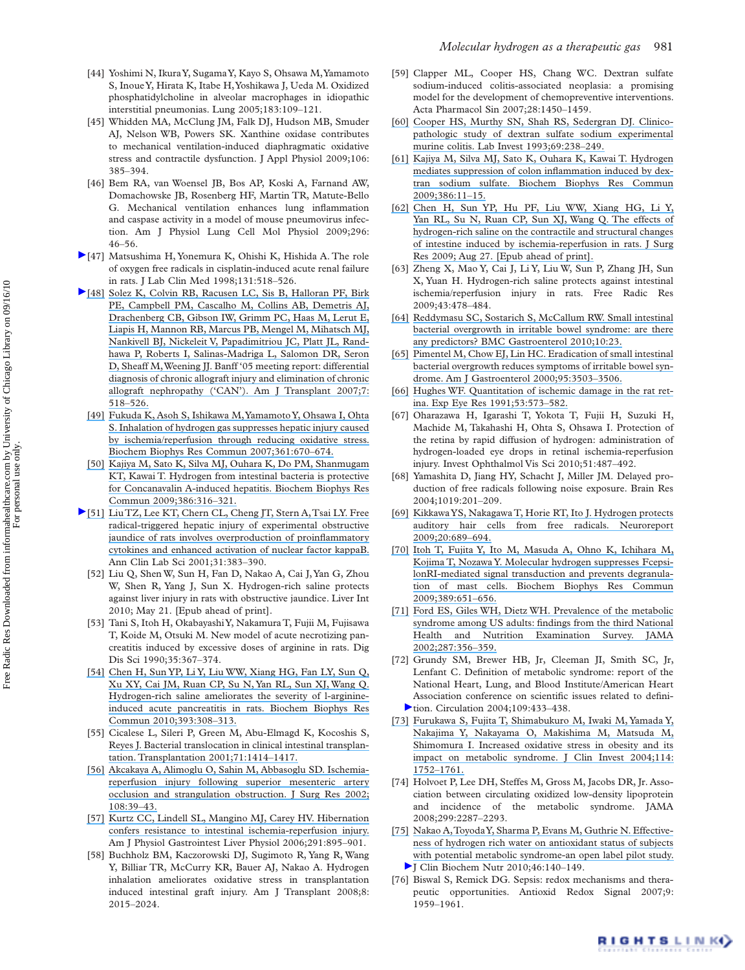- [44] Yoshimi N, Ikura Y, Sugama Y, Kayo S, Ohsawa M, Yamamoto S, Inoue Y, Hirata K, Itabe H, Yoshikawa J, Ueda M. Oxidized phosphatidylcholine in alveolar macrophages in idiopathic interstitial pneumonias. Lung 2005;183:109-121.
- [45] Whidden MA, McClung JM, Falk DJ, Hudson MB, Smuder AJ, Nelson WB, Powers SK. Xanthine oxidase contributes to mechanical ventilation-induced diaphragmatic oxidative stress and contractile dysfunction. J Appl Physiol 2009;106: 385 – 394.
- [46] Bem RA, van Woensel JB, Bos AP, Koski A, Farnand AW, Domachowske JB, Rosenberg HF, Martin TR, Matute-Bello G. Mechanical ventilation enhances lung inflammation and caspase activity in a model of mouse pneumovirus infection. Am J Physiol Lung Cell Mol Physiol 2009;296:  $46 - 56$ .
- [47] Matsushima H, Yonemura K, Ohishi K, Hishida A. The role of oxygen free radicals in cisplatin-induced acute renal failure in rats. J Lab Clin Med 1998;131:518-526.
- [\[48\] Solez K, Colvin RB, Racusen LC, Sis B, Halloran PF, Birk](https://www.researchgate.net/publication/6453834_Banff_) [PE, Campbell PM, Cascalho M, Collins AB, Demetris AJ,](https://www.researchgate.net/publication/6453834_Banff_) [Drachenberg CB, Gibson IW, Grimm PC, Haas M, Lerut E,](https://www.researchgate.net/publication/6453834_Banff_) [Liapis H, Mannon RB, Marcus PB, Mengel M, Mihatsch MJ,](https://www.researchgate.net/publication/6453834_Banff_) [Nankivell BJ, Nickeleit V, Papadimitriou JC, Platt JL, Rand](https://www.researchgate.net/publication/6453834_Banff_)[hawa P, Roberts I, Salinas-Madriga L, Salomon DR, Seron](https://www.researchgate.net/publication/6453834_Banff_) D, Sheaff M, Weening JJ. Banff '05 meeting report: differential [diagnosis of chronic allograft injury and elimination of chronic](https://www.researchgate.net/publication/6453834_Banff_) allograft nephropathy ('CAN'). Am J Transplant 2007;7: 518 – 526
	- [\[49\] Fukuda K, Asoh S, Ishikawa M, Yamamoto Y, Ohsawa I, Ohta](https://www.researchgate.net/publication/6166463_Fukuda_K_Asoh_S_Ishikawa_M_Yamamoto_Y_Ohsawa_I_Ohta_S_Inhalation_of_hydrogen_gas_suppresses_hepatic_injury_caused_by_ischemiareperfusion_through_reducing_oxidative_stress_Biochem_Biophys_Res_Commun_28?el=1_x_8&enrichId=rgreq-af08f6df-b514-460f-b253-7f689bb4e3a8&enrichSource=Y292ZXJQYWdlOzQ2MTQ3MTI3O0FTOjk5MTY5NzcxNDU4NTc4QDE0MDA2NTUzMjYxNTc=) [S. Inhalation of hydrogen gas suppresses hepatic injury caused](https://www.researchgate.net/publication/6166463_Fukuda_K_Asoh_S_Ishikawa_M_Yamamoto_Y_Ohsawa_I_Ohta_S_Inhalation_of_hydrogen_gas_suppresses_hepatic_injury_caused_by_ischemiareperfusion_through_reducing_oxidative_stress_Biochem_Biophys_Res_Commun_28?el=1_x_8&enrichId=rgreq-af08f6df-b514-460f-b253-7f689bb4e3a8&enrichSource=Y292ZXJQYWdlOzQ2MTQ3MTI3O0FTOjk5MTY5NzcxNDU4NTc4QDE0MDA2NTUzMjYxNTc=) [by ischemia/reperfusion through reducing oxidative stress.](https://www.researchgate.net/publication/6166463_Fukuda_K_Asoh_S_Ishikawa_M_Yamamoto_Y_Ohsawa_I_Ohta_S_Inhalation_of_hydrogen_gas_suppresses_hepatic_injury_caused_by_ischemiareperfusion_through_reducing_oxidative_stress_Biochem_Biophys_Res_Commun_28?el=1_x_8&enrichId=rgreq-af08f6df-b514-460f-b253-7f689bb4e3a8&enrichSource=Y292ZXJQYWdlOzQ2MTQ3MTI3O0FTOjk5MTY5NzcxNDU4NTc4QDE0MDA2NTUzMjYxNTc=) Biochem Biophys Res Commun 2007;361:670-674.
	- [\[50\] Kajiya M, Sato K, Silva MJ, Ouhara K, Do PM, Shanmugam](https://www.researchgate.net/publication/222646771_Hydrogen_from_intestinal_bacteria_is_protective_for_Concanavalin_A-induced_hepatitis?el=1_x_8&enrichId=rgreq-af08f6df-b514-460f-b253-7f689bb4e3a8&enrichSource=Y292ZXJQYWdlOzQ2MTQ3MTI3O0FTOjk5MTY5NzcxNDU4NTc4QDE0MDA2NTUzMjYxNTc=) [KT, Kawai T. Hydrogen from intestinal bacteria is protective](https://www.researchgate.net/publication/222646771_Hydrogen_from_intestinal_bacteria_is_protective_for_Concanavalin_A-induced_hepatitis?el=1_x_8&enrichId=rgreq-af08f6df-b514-460f-b253-7f689bb4e3a8&enrichSource=Y292ZXJQYWdlOzQ2MTQ3MTI3O0FTOjk5MTY5NzcxNDU4NTc4QDE0MDA2NTUzMjYxNTc=) [for Concanavalin A-induced hepatitis. Biochem Biophys Res](https://www.researchgate.net/publication/222646771_Hydrogen_from_intestinal_bacteria_is_protective_for_Concanavalin_A-induced_hepatitis?el=1_x_8&enrichId=rgreq-af08f6df-b514-460f-b253-7f689bb4e3a8&enrichSource=Y292ZXJQYWdlOzQ2MTQ3MTI3O0FTOjk5MTY5NzcxNDU4NTc4QDE0MDA2NTUzMjYxNTc=) Commun 2009;386:316-321.
- [\[51\] Liu TZ, Lee KT, Chern CL, Cheng JT, Stern A, Tsai LY. Free](https://www.researchgate.net/publication/11664151_Free_Radical-Triggered_Hepatic_Injury_of_Experimental_Obstructive_Jaundice_of_Rats_Involves_Overproduction_of_Proinflammatory_Cytokines_and_Enhanced_Activation_of_Nuclear_Factor_kB?el=1_x_8&enrichId=rgreq-af08f6df-b514-460f-b253-7f689bb4e3a8&enrichSource=Y292ZXJQYWdlOzQ2MTQ3MTI3O0FTOjk5MTY5NzcxNDU4NTc4QDE0MDA2NTUzMjYxNTc=) [radical-triggered hepatic injury of experimental obstructive](https://www.researchgate.net/publication/11664151_Free_Radical-Triggered_Hepatic_Injury_of_Experimental_Obstructive_Jaundice_of_Rats_Involves_Overproduction_of_Proinflammatory_Cytokines_and_Enhanced_Activation_of_Nuclear_Factor_kB?el=1_x_8&enrichId=rgreq-af08f6df-b514-460f-b253-7f689bb4e3a8&enrichSource=Y292ZXJQYWdlOzQ2MTQ3MTI3O0FTOjk5MTY5NzcxNDU4NTc4QDE0MDA2NTUzMjYxNTc=) jaundice of rats involves overproduction of proinflammatory [cytokines and enhanced activation of nuclear factor kappaB.](https://www.researchgate.net/publication/11664151_Free_Radical-Triggered_Hepatic_Injury_of_Experimental_Obstructive_Jaundice_of_Rats_Involves_Overproduction_of_Proinflammatory_Cytokines_and_Enhanced_Activation_of_Nuclear_Factor_kB?el=1_x_8&enrichId=rgreq-af08f6df-b514-460f-b253-7f689bb4e3a8&enrichSource=Y292ZXJQYWdlOzQ2MTQ3MTI3O0FTOjk5MTY5NzcxNDU4NTc4QDE0MDA2NTUzMjYxNTc=) Ann Clin Lab Sci 2001;31:383-390.
	- [52] Liu Q, Shen W, Sun H, Fan D, Nakao A, Cai J, Yan G, Zhou W, Shen R, Yang J, Sun X. Hydrogen-rich saline protects against liver injury in rats with obstructive jaundice. Liver Int 2010; May 21. [Epub ahead of print].
	- [53] Tani S, Itoh H, Okabayashi Y, Nakamura T, Fujii M, Fujisawa T, Koide M, Otsuki M. New model of acute necrotizing pancreatitis induced by excessive doses of arginine in rats. Dig Dis Sci 1990;35:367-374.
	- [\[54\] Chen H, Sun YP, Li Y, Liu WW, Xiang HG, Fan LY, Sun Q,](https://www.researchgate.net/publication/41413344_Hydrogen-rich_saline_ameliorates_the_severity_of_L-arginine-induced_acute_pancreatitis_in_rats?el=1_x_8&enrichId=rgreq-af08f6df-b514-460f-b253-7f689bb4e3a8&enrichSource=Y292ZXJQYWdlOzQ2MTQ3MTI3O0FTOjk5MTY5NzcxNDU4NTc4QDE0MDA2NTUzMjYxNTc=)  [Xu XY, Cai JM, Ruan CP, Su N, Yan RL, Sun XJ, Wang Q.](https://www.researchgate.net/publication/41413344_Hydrogen-rich_saline_ameliorates_the_severity_of_L-arginine-induced_acute_pancreatitis_in_rats?el=1_x_8&enrichId=rgreq-af08f6df-b514-460f-b253-7f689bb4e3a8&enrichSource=Y292ZXJQYWdlOzQ2MTQ3MTI3O0FTOjk5MTY5NzcxNDU4NTc4QDE0MDA2NTUzMjYxNTc=) [Hydrogen-rich saline ameliorates the severity of l-arginine](https://www.researchgate.net/publication/41413344_Hydrogen-rich_saline_ameliorates_the_severity_of_L-arginine-induced_acute_pancreatitis_in_rats?el=1_x_8&enrichId=rgreq-af08f6df-b514-460f-b253-7f689bb4e3a8&enrichSource=Y292ZXJQYWdlOzQ2MTQ3MTI3O0FTOjk5MTY5NzcxNDU4NTc4QDE0MDA2NTUzMjYxNTc=)[induced acute pancreatitis in rats. Biochem Biophys Res](https://www.researchgate.net/publication/41413344_Hydrogen-rich_saline_ameliorates_the_severity_of_L-arginine-induced_acute_pancreatitis_in_rats?el=1_x_8&enrichId=rgreq-af08f6df-b514-460f-b253-7f689bb4e3a8&enrichSource=Y292ZXJQYWdlOzQ2MTQ3MTI3O0FTOjk5MTY5NzcxNDU4NTc4QDE0MDA2NTUzMjYxNTc=)  [Commun 2010;393:308–313.](https://www.researchgate.net/publication/41413344_Hydrogen-rich_saline_ameliorates_the_severity_of_L-arginine-induced_acute_pancreatitis_in_rats?el=1_x_8&enrichId=rgreq-af08f6df-b514-460f-b253-7f689bb4e3a8&enrichSource=Y292ZXJQYWdlOzQ2MTQ3MTI3O0FTOjk5MTY5NzcxNDU4NTc4QDE0MDA2NTUzMjYxNTc=)
	- [55] Cicalese L, Sileri P, Green M, Abu-Elmagd K, Kocoshis S, [Reyes J. Bacterial translocation in clinical intestinal transplan](https://www.researchgate.net/publication/11948614_Bacterial_Translocation_in_Clinical_Intestinal_Transplantation?el=1_x_8&enrichId=rgreq-af08f6df-b514-460f-b253-7f689bb4e3a8&enrichSource=Y292ZXJQYWdlOzQ2MTQ3MTI3O0FTOjk5MTY5NzcxNDU4NTc4QDE0MDA2NTUzMjYxNTc=)tation. Transplantation 2001;71:1414-1417.
	- [\[56\] Akcakaya A, Alimoglu O, Sahin M, Abbasoglu SD. Ischemia](https://www.researchgate.net/publication/11024457_Ischemia-Reperfusion_Injury_Following_Superior_Mesenteric_Artery_Occlusion_and_Strangulation_Obstruction?el=1_x_8&enrichId=rgreq-af08f6df-b514-460f-b253-7f689bb4e3a8&enrichSource=Y292ZXJQYWdlOzQ2MTQ3MTI3O0FTOjk5MTY5NzcxNDU4NTc4QDE0MDA2NTUzMjYxNTc=)[reperfusion injury following superior mesenteric artery](https://www.researchgate.net/publication/11024457_Ischemia-Reperfusion_Injury_Following_Superior_Mesenteric_Artery_Occlusion_and_Strangulation_Obstruction?el=1_x_8&enrichId=rgreq-af08f6df-b514-460f-b253-7f689bb4e3a8&enrichSource=Y292ZXJQYWdlOzQ2MTQ3MTI3O0FTOjk5MTY5NzcxNDU4NTc4QDE0MDA2NTUzMjYxNTc=) [occlusion and strangulation obstruction. J Surg Res 2002;](https://www.researchgate.net/publication/11024457_Ischemia-Reperfusion_Injury_Following_Superior_Mesenteric_Artery_Occlusion_and_Strangulation_Obstruction?el=1_x_8&enrichId=rgreq-af08f6df-b514-460f-b253-7f689bb4e3a8&enrichSource=Y292ZXJQYWdlOzQ2MTQ3MTI3O0FTOjk5MTY5NzcxNDU4NTc4QDE0MDA2NTUzMjYxNTc=) [108:39 – 43.](https://www.researchgate.net/publication/11024457_Ischemia-Reperfusion_Injury_Following_Superior_Mesenteric_Artery_Occlusion_and_Strangulation_Obstruction?el=1_x_8&enrichId=rgreq-af08f6df-b514-460f-b253-7f689bb4e3a8&enrichSource=Y292ZXJQYWdlOzQ2MTQ3MTI3O0FTOjk5MTY5NzcxNDU4NTc4QDE0MDA2NTUzMjYxNTc=)
	- [\[57\] Kurtz CC, Lindell SL, Mangino MJ, Carey HV. Hibernation](https://www.researchgate.net/publication/7032132_Hibernation_confers_resistance_to_intestinal_ischemia-reperfusion_injury?el=1_x_8&enrichId=rgreq-af08f6df-b514-460f-b253-7f689bb4e3a8&enrichSource=Y292ZXJQYWdlOzQ2MTQ3MTI3O0FTOjk5MTY5NzcxNDU4NTc4QDE0MDA2NTUzMjYxNTc=) [confers resistance to intestinal ischemia-reperfusion injury.](https://www.researchgate.net/publication/7032132_Hibernation_confers_resistance_to_intestinal_ischemia-reperfusion_injury?el=1_x_8&enrichId=rgreq-af08f6df-b514-460f-b253-7f689bb4e3a8&enrichSource=Y292ZXJQYWdlOzQ2MTQ3MTI3O0FTOjk5MTY5NzcxNDU4NTc4QDE0MDA2NTUzMjYxNTc=) Am J Physiol Gastrointest Liver Physiol 2006;291:895-901.
	- [58] Buchholz BM, Kaczorowski DJ, Sugimoto R, Yang R, Wang Y, Billiar TR, McCurry KR, Bauer AJ, Nakao A. Hydrogen inhalation ameliorates oxidative stress in transplantation induced intestinal graft injury. Am J Transplant 2008;8: 2015 – 2024.
- [59] Clapper ML, Cooper HS, Chang WC. Dextran sulfate sodium-induced colitis-associated neoplasia: a promising model for the development of chemopreventive interventions. Acta Pharmacol Sin 2007;28:1450-1459.
- [\[60\] Cooper HS, Murthy SN, Shah RS, Sedergran DJ. Clinico](https://www.researchgate.net/publication/14847901_Clinicopathological_Study_of_Dextran_Sulfate_Sodium_Experimental_Murine_Colitis?el=1_x_8&enrichId=rgreq-af08f6df-b514-460f-b253-7f689bb4e3a8&enrichSource=Y292ZXJQYWdlOzQ2MTQ3MTI3O0FTOjk5MTY5NzcxNDU4NTc4QDE0MDA2NTUzMjYxNTc=)[pathologic study of dextran sulfate sodium experimental](https://www.researchgate.net/publication/14847901_Clinicopathological_Study_of_Dextran_Sulfate_Sodium_Experimental_Murine_Colitis?el=1_x_8&enrichId=rgreq-af08f6df-b514-460f-b253-7f689bb4e3a8&enrichSource=Y292ZXJQYWdlOzQ2MTQ3MTI3O0FTOjk5MTY5NzcxNDU4NTc4QDE0MDA2NTUzMjYxNTc=) murine colitis. Lab Invest 1993;69:238-249.
- [\[61\] Kajiya M, Silva MJ, Sato K, Ouhara K, Kawai T. Hydrogen](https://www.researchgate.net/publication/222708671_Hydrogen_mediates_suppression_of_colon_inflammation_induced_by_dextran_sodium_sulfate?el=1_x_8&enrichId=rgreq-af08f6df-b514-460f-b253-7f689bb4e3a8&enrichSource=Y292ZXJQYWdlOzQ2MTQ3MTI3O0FTOjk5MTY5NzcxNDU4NTc4QDE0MDA2NTUzMjYxNTc=)  mediates suppression of colon inflammation induced by dex[tran sodium sulfate. Biochem Biophys Res Commun](https://www.researchgate.net/publication/222708671_Hydrogen_mediates_suppression_of_colon_inflammation_induced_by_dextran_sodium_sulfate?el=1_x_8&enrichId=rgreq-af08f6df-b514-460f-b253-7f689bb4e3a8&enrichSource=Y292ZXJQYWdlOzQ2MTQ3MTI3O0FTOjk5MTY5NzcxNDU4NTc4QDE0MDA2NTUzMjYxNTc=)  $2009:386:11 - 15.$
- [\[62\] Chen H, Sun YP, Hu PF, Liu WW, Xiang HG, Li Y,](https://www.researchgate.net/publication/216015626_The_Effects_of_Hydrogen-Rich_Saline_on_the_Contractile_and_Structural_Changes_of_Intestine_Induced_by_Ischemia-Reperfusion_in_Rats?el=1_x_8&enrichId=rgreq-af08f6df-b514-460f-b253-7f689bb4e3a8&enrichSource=Y292ZXJQYWdlOzQ2MTQ3MTI3O0FTOjk5MTY5NzcxNDU4NTc4QDE0MDA2NTUzMjYxNTc=) [Yan RL, Su N, Ruan CP, Sun XJ, Wang Q. The effects of](https://www.researchgate.net/publication/216015626_The_Effects_of_Hydrogen-Rich_Saline_on_the_Contractile_and_Structural_Changes_of_Intestine_Induced_by_Ischemia-Reperfusion_in_Rats?el=1_x_8&enrichId=rgreq-af08f6df-b514-460f-b253-7f689bb4e3a8&enrichSource=Y292ZXJQYWdlOzQ2MTQ3MTI3O0FTOjk5MTY5NzcxNDU4NTc4QDE0MDA2NTUzMjYxNTc=) [hydrogen-rich saline on the contractile and structural changes](https://www.researchgate.net/publication/216015626_The_Effects_of_Hydrogen-Rich_Saline_on_the_Contractile_and_Structural_Changes_of_Intestine_Induced_by_Ischemia-Reperfusion_in_Rats?el=1_x_8&enrichId=rgreq-af08f6df-b514-460f-b253-7f689bb4e3a8&enrichSource=Y292ZXJQYWdlOzQ2MTQ3MTI3O0FTOjk5MTY5NzcxNDU4NTc4QDE0MDA2NTUzMjYxNTc=) [of intestine induced by ischemia-reperfusion in rats. J Surg](https://www.researchgate.net/publication/216015626_The_Effects_of_Hydrogen-Rich_Saline_on_the_Contractile_and_Structural_Changes_of_Intestine_Induced_by_Ischemia-Reperfusion_in_Rats?el=1_x_8&enrichId=rgreq-af08f6df-b514-460f-b253-7f689bb4e3a8&enrichSource=Y292ZXJQYWdlOzQ2MTQ3MTI3O0FTOjk5MTY5NzcxNDU4NTc4QDE0MDA2NTUzMjYxNTc=) [Res 2009; Aug 27. \[Epub ahead of print\].](https://www.researchgate.net/publication/216015626_The_Effects_of_Hydrogen-Rich_Saline_on_the_Contractile_and_Structural_Changes_of_Intestine_Induced_by_Ischemia-Reperfusion_in_Rats?el=1_x_8&enrichId=rgreq-af08f6df-b514-460f-b253-7f689bb4e3a8&enrichSource=Y292ZXJQYWdlOzQ2MTQ3MTI3O0FTOjk5MTY5NzcxNDU4NTc4QDE0MDA2NTUzMjYxNTc=)
- [63] Zheng X, Mao Y, Cai J, Li Y, Liu W, Sun P, Zhang JH, Sun X, Yuan H. Hydrogen-rich saline protects against intestinal ischemia/reperfusion injury in rats. Free Radic Res 2009;43:478 – 484.
- [\[64\] Reddymasu SC, Sostarich S, McCallum RW. Small intestinal](https://www.researchgate.net/publication/41531384_Small_intestinal_bacterial_overgrowth_in_irritable_bowel_syndrome_Are_there_any_predictors?el=1_x_8&enrichId=rgreq-af08f6df-b514-460f-b253-7f689bb4e3a8&enrichSource=Y292ZXJQYWdlOzQ2MTQ3MTI3O0FTOjk5MTY5NzcxNDU4NTc4QDE0MDA2NTUzMjYxNTc=) [bacterial overgrowth in irritable bowel syndrome: are there](https://www.researchgate.net/publication/41531384_Small_intestinal_bacterial_overgrowth_in_irritable_bowel_syndrome_Are_there_any_predictors?el=1_x_8&enrichId=rgreq-af08f6df-b514-460f-b253-7f689bb4e3a8&enrichSource=Y292ZXJQYWdlOzQ2MTQ3MTI3O0FTOjk5MTY5NzcxNDU4NTc4QDE0MDA2NTUzMjYxNTc=) [any predictors? BMC Gastroenterol 2010;10:23.](https://www.researchgate.net/publication/41531384_Small_intestinal_bacterial_overgrowth_in_irritable_bowel_syndrome_Are_there_any_predictors?el=1_x_8&enrichId=rgreq-af08f6df-b514-460f-b253-7f689bb4e3a8&enrichSource=Y292ZXJQYWdlOzQ2MTQ3MTI3O0FTOjk5MTY5NzcxNDU4NTc4QDE0MDA2NTUzMjYxNTc=)
- [\[65\] Pimentel M, Chow EJ, Lin HC. Eradication of small intestinal](https://www.researchgate.net/publication/12177364_Eradication_of_small_intestinal_bacterial_overgrowth_reduces_symptoms_of_irritable_bowel_syndrome_Am_J_Gastro?el=1_x_8&enrichId=rgreq-af08f6df-b514-460f-b253-7f689bb4e3a8&enrichSource=Y292ZXJQYWdlOzQ2MTQ3MTI3O0FTOjk5MTY5NzcxNDU4NTc4QDE0MDA2NTUzMjYxNTc=) [bacterial overgrowth reduces symptoms of irritable bowel syn](https://www.researchgate.net/publication/12177364_Eradication_of_small_intestinal_bacterial_overgrowth_reduces_symptoms_of_irritable_bowel_syndrome_Am_J_Gastro?el=1_x_8&enrichId=rgreq-af08f6df-b514-460f-b253-7f689bb4e3a8&enrichSource=Y292ZXJQYWdlOzQ2MTQ3MTI3O0FTOjk5MTY5NzcxNDU4NTc4QDE0MDA2NTUzMjYxNTc=)drome. Am J Gastroenterol 2000;95:3503-3506.
- [\[66\] Hughes WF. Quantitation of ischemic damage in the rat ret](https://www.researchgate.net/publication/21413046_Quantitation_of_ischemic_damage_in_the_rat_retina?el=1_x_8&enrichId=rgreq-af08f6df-b514-460f-b253-7f689bb4e3a8&enrichSource=Y292ZXJQYWdlOzQ2MTQ3MTI3O0FTOjk5MTY5NzcxNDU4NTc4QDE0MDA2NTUzMjYxNTc=)ina. Exp Eye Res 1991;53:573-582.
- [67] Oharazawa H, Igarashi T, Yokota T, Fujii H, Suzuki H, Machide M, Takahashi H, Ohta S, Ohsawa I. Protection of the retina by rapid diffusion of hydrogen: administration of hydrogen-loaded eye drops in retinal ischemia-reperfusion injury. Invest Ophthalmol Vis Sci 2010;51:487-492.
- [68] Yamashita D, Jiang HY, Schacht J, Miller JM. Delayed production of free radicals following noise exposure. Brain Res 2004;1019:201 – 209.
- [\[69\] Kikkawa YS, Nakagawa T, Horie RT, Ito J. Hydrogen protects](https://www.researchgate.net/publication/24251557_Hydrogen_protects_auditory_hair_cells_from_free_radicals_NeuroReport_207_689-694?el=1_x_8&enrichId=rgreq-af08f6df-b514-460f-b253-7f689bb4e3a8&enrichSource=Y292ZXJQYWdlOzQ2MTQ3MTI3O0FTOjk5MTY5NzcxNDU4NTc4QDE0MDA2NTUzMjYxNTc=) [auditory hair cells from free radicals. Neuroreport](https://www.researchgate.net/publication/24251557_Hydrogen_protects_auditory_hair_cells_from_free_radicals_NeuroReport_207_689-694?el=1_x_8&enrichId=rgreq-af08f6df-b514-460f-b253-7f689bb4e3a8&enrichSource=Y292ZXJQYWdlOzQ2MTQ3MTI3O0FTOjk5MTY5NzcxNDU4NTc4QDE0MDA2NTUzMjYxNTc=) 2009;20:689-694.
- [\[70\] Itoh T, Fujita Y, Ito M, Masuda A, Ohno K, Ichihara M,](https://www.researchgate.net/publication/26823571_Molecular_hydrogen_suppresses_FceRI-mediated_signal_transduction_and_prevents_degranulation_of_mast_cells?el=1_x_8&enrichId=rgreq-af08f6df-b514-460f-b253-7f689bb4e3a8&enrichSource=Y292ZXJQYWdlOzQ2MTQ3MTI3O0FTOjk5MTY5NzcxNDU4NTc4QDE0MDA2NTUzMjYxNTc=) [Kojima T, Nozawa Y. Molecular hydrogen suppresses Fcepsi](https://www.researchgate.net/publication/26823571_Molecular_hydrogen_suppresses_FceRI-mediated_signal_transduction_and_prevents_degranulation_of_mast_cells?el=1_x_8&enrichId=rgreq-af08f6df-b514-460f-b253-7f689bb4e3a8&enrichSource=Y292ZXJQYWdlOzQ2MTQ3MTI3O0FTOjk5MTY5NzcxNDU4NTc4QDE0MDA2NTUzMjYxNTc=)[lonRI-mediated signal transduction and prevents degranula](https://www.researchgate.net/publication/26823571_Molecular_hydrogen_suppresses_FceRI-mediated_signal_transduction_and_prevents_degranulation_of_mast_cells?el=1_x_8&enrichId=rgreq-af08f6df-b514-460f-b253-7f689bb4e3a8&enrichSource=Y292ZXJQYWdlOzQ2MTQ3MTI3O0FTOjk5MTY5NzcxNDU4NTc4QDE0MDA2NTUzMjYxNTc=)[tion of mast cells. Biochem Biophys Res Commun](https://www.researchgate.net/publication/26823571_Molecular_hydrogen_suppresses_FceRI-mediated_signal_transduction_and_prevents_degranulation_of_mast_cells?el=1_x_8&enrichId=rgreq-af08f6df-b514-460f-b253-7f689bb4e3a8&enrichSource=Y292ZXJQYWdlOzQ2MTQ3MTI3O0FTOjk5MTY5NzcxNDU4NTc4QDE0MDA2NTUzMjYxNTc=) 2009;389:651-656.
- [\[71\] Ford ES, Giles WH, Dietz WH. Prevalence of the metabolic](https://www.researchgate.net/publication/11568808_Ford_S_Giles_WH_Dietz_WH_Prevalence_of_the_metabolic_syndrome_among_US_adults_findings_from_the_Third_National_Health_And_Nutrition_Examination_Survey_JAMA_28_356-359?el=1_x_8&enrichId=rgreq-af08f6df-b514-460f-b253-7f689bb4e3a8&enrichSource=Y292ZXJQYWdlOzQ2MTQ3MTI3O0FTOjk5MTY5NzcxNDU4NTc4QDE0MDA2NTUzMjYxNTc=) syndrome among US adults: findings from the third National [Health and Nutrition Examination Survey. JAMA](https://www.researchgate.net/publication/11568808_Ford_S_Giles_WH_Dietz_WH_Prevalence_of_the_metabolic_syndrome_among_US_adults_findings_from_the_Third_National_Health_And_Nutrition_Examination_Survey_JAMA_28_356-359?el=1_x_8&enrichId=rgreq-af08f6df-b514-460f-b253-7f689bb4e3a8&enrichSource=Y292ZXJQYWdlOzQ2MTQ3MTI3O0FTOjk5MTY5NzcxNDU4NTc4QDE0MDA2NTUzMjYxNTc=) [2002;287:356 – 359.](https://www.researchgate.net/publication/11568808_Ford_S_Giles_WH_Dietz_WH_Prevalence_of_the_metabolic_syndrome_among_US_adults_findings_from_the_Third_National_Health_And_Nutrition_Examination_Survey_JAMA_28_356-359?el=1_x_8&enrichId=rgreq-af08f6df-b514-460f-b253-7f689bb4e3a8&enrichSource=Y292ZXJQYWdlOzQ2MTQ3MTI3O0FTOjk5MTY5NzcxNDU4NTc4QDE0MDA2NTUzMjYxNTc=)
- [72] Grundy SM, Brewer HB, Jr, Cleeman JI, Smith SC, Jr, Lenfant C. Definition of metabolic syndrome: report of the National Heart, Lung, and Blood Institute/American Heart Association conference on scientific issues related to defini**tion.** Circulation 2004;109:433-438.
- [\[73\] Furukawa S, Fujita T, Shimabukuro M, Iwaki M, Yamada Y,](https://www.researchgate.net/publication/8131323_Furukawa_S_et_al_Increased_oxidative_stress_in_obesity_and_its_impact_on_metabolic_syndrome_J_Clin_Invest_114_1752-1761?el=1_x_8&enrichId=rgreq-af08f6df-b514-460f-b253-7f689bb4e3a8&enrichSource=Y292ZXJQYWdlOzQ2MTQ3MTI3O0FTOjk5MTY5NzcxNDU4NTc4QDE0MDA2NTUzMjYxNTc=) [Nakajima Y, Nakayama O, Makishima M, Matsuda M,](https://www.researchgate.net/publication/8131323_Furukawa_S_et_al_Increased_oxidative_stress_in_obesity_and_its_impact_on_metabolic_syndrome_J_Clin_Invest_114_1752-1761?el=1_x_8&enrichId=rgreq-af08f6df-b514-460f-b253-7f689bb4e3a8&enrichSource=Y292ZXJQYWdlOzQ2MTQ3MTI3O0FTOjk5MTY5NzcxNDU4NTc4QDE0MDA2NTUzMjYxNTc=) [Shimomura I. Increased oxidative stress in obesity and its](https://www.researchgate.net/publication/8131323_Furukawa_S_et_al_Increased_oxidative_stress_in_obesity_and_its_impact_on_metabolic_syndrome_J_Clin_Invest_114_1752-1761?el=1_x_8&enrichId=rgreq-af08f6df-b514-460f-b253-7f689bb4e3a8&enrichSource=Y292ZXJQYWdlOzQ2MTQ3MTI3O0FTOjk5MTY5NzcxNDU4NTc4QDE0MDA2NTUzMjYxNTc=) [impact on metabolic syndrome. J Clin Invest 2004;114:](https://www.researchgate.net/publication/8131323_Furukawa_S_et_al_Increased_oxidative_stress_in_obesity_and_its_impact_on_metabolic_syndrome_J_Clin_Invest_114_1752-1761?el=1_x_8&enrichId=rgreq-af08f6df-b514-460f-b253-7f689bb4e3a8&enrichSource=Y292ZXJQYWdlOzQ2MTQ3MTI3O0FTOjk5MTY5NzcxNDU4NTc4QDE0MDA2NTUzMjYxNTc=) [1752 – 1761.](https://www.researchgate.net/publication/8131323_Furukawa_S_et_al_Increased_oxidative_stress_in_obesity_and_its_impact_on_metabolic_syndrome_J_Clin_Invest_114_1752-1761?el=1_x_8&enrichId=rgreq-af08f6df-b514-460f-b253-7f689bb4e3a8&enrichSource=Y292ZXJQYWdlOzQ2MTQ3MTI3O0FTOjk5MTY5NzcxNDU4NTc4QDE0MDA2NTUzMjYxNTc=)
- [74] Holvoet P, Lee DH, Steffes M, Gross M, Jacobs DR, Jr. Association between circulating oxidized low-density lipoprotein and incidence of the metabolic syndrome. JAMA 2008;299:2287 – 2293.
- [\[75\] Nakao A, Toyoda Y, Sharma P, Evans M, Guthrie N. Effective](https://www.researchgate.net/publication/41849936_Effectiveness_of_Hydrogen_Rich_Water_on_Antioxidant_Status_of_Subjects_with_Potential_Metabolic_Syndrome-An_Open_Label_Pilot_Study?el=1_x_8&enrichId=rgreq-af08f6df-b514-460f-b253-7f689bb4e3a8&enrichSource=Y292ZXJQYWdlOzQ2MTQ3MTI3O0FTOjk5MTY5NzcxNDU4NTc4QDE0MDA2NTUzMjYxNTc=)[ness of hydrogen rich water on antioxidant status of subjects](https://www.researchgate.net/publication/41849936_Effectiveness_of_Hydrogen_Rich_Water_on_Antioxidant_Status_of_Subjects_with_Potential_Metabolic_Syndrome-An_Open_Label_Pilot_Study?el=1_x_8&enrichId=rgreq-af08f6df-b514-460f-b253-7f689bb4e3a8&enrichSource=Y292ZXJQYWdlOzQ2MTQ3MTI3O0FTOjk5MTY5NzcxNDU4NTc4QDE0MDA2NTUzMjYxNTc=)  [with potential metabolic syndrome-an open label pilot study.](https://www.researchgate.net/publication/41849936_Effectiveness_of_Hydrogen_Rich_Water_on_Antioxidant_Status_of_Subjects_with_Potential_Metabolic_Syndrome-An_Open_Label_Pilot_Study?el=1_x_8&enrichId=rgreq-af08f6df-b514-460f-b253-7f689bb4e3a8&enrichSource=Y292ZXJQYWdlOzQ2MTQ3MTI3O0FTOjk5MTY5NzcxNDU4NTc4QDE0MDA2NTUzMjYxNTc=)  $\blacktriangleright$  J Clin Biochem Nutr 2010;46:140-149.
- [76] Biswal S, Remick DG. Sepsis: redox mechanisms and therapeutic opportunities. Antioxid Redox Signal 2007;9: 1959-1961.